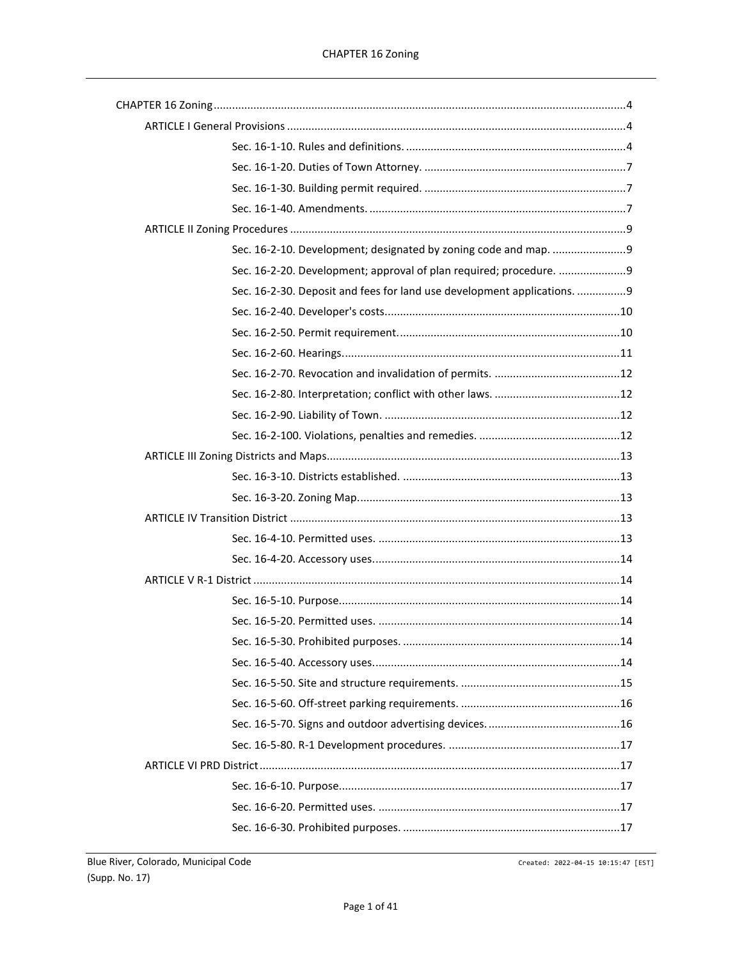| Sec. 16-2-30. Deposit and fees for land use development applications. 9 |  |
|-------------------------------------------------------------------------|--|
|                                                                         |  |
|                                                                         |  |
|                                                                         |  |
|                                                                         |  |
|                                                                         |  |
|                                                                         |  |
|                                                                         |  |
|                                                                         |  |
|                                                                         |  |
|                                                                         |  |
|                                                                         |  |
|                                                                         |  |
|                                                                         |  |
|                                                                         |  |
|                                                                         |  |
|                                                                         |  |
|                                                                         |  |
|                                                                         |  |
|                                                                         |  |
|                                                                         |  |
|                                                                         |  |
|                                                                         |  |
|                                                                         |  |
|                                                                         |  |
|                                                                         |  |
|                                                                         |  |

Created: 2022-04-15 10:15:47 [EST]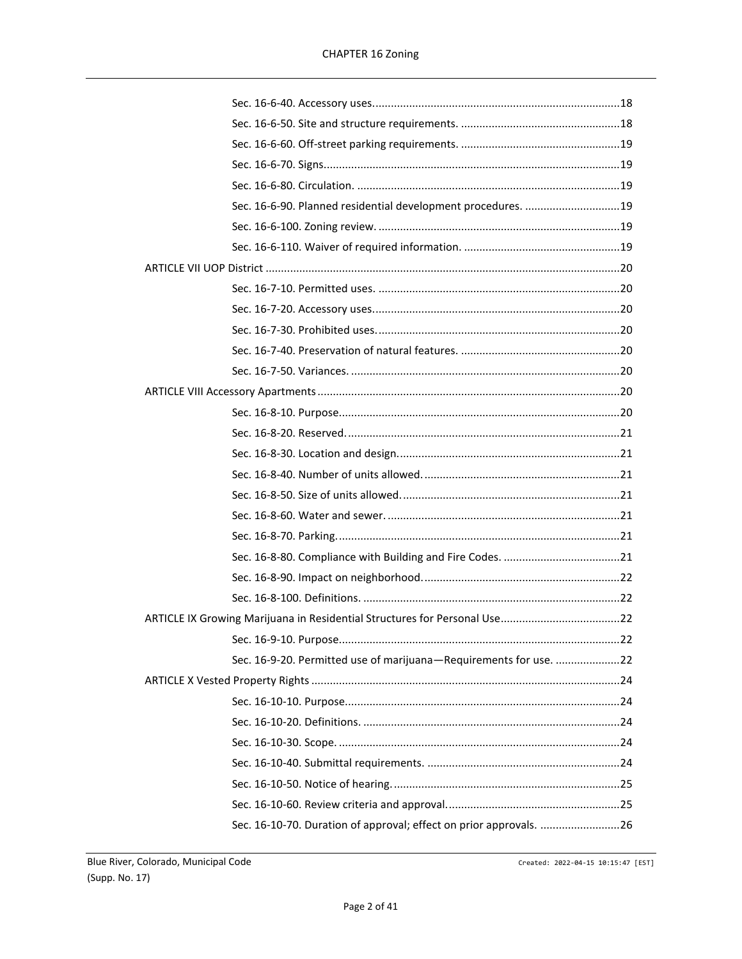| Sec. 16-6-90. Planned residential development procedures.  19      |  |
|--------------------------------------------------------------------|--|
|                                                                    |  |
|                                                                    |  |
|                                                                    |  |
|                                                                    |  |
|                                                                    |  |
|                                                                    |  |
|                                                                    |  |
|                                                                    |  |
|                                                                    |  |
|                                                                    |  |
|                                                                    |  |
|                                                                    |  |
|                                                                    |  |
|                                                                    |  |
|                                                                    |  |
|                                                                    |  |
|                                                                    |  |
|                                                                    |  |
|                                                                    |  |
|                                                                    |  |
|                                                                    |  |
| Sec. 16-9-20. Permitted use of marijuana-Requirements for use. 22  |  |
|                                                                    |  |
|                                                                    |  |
|                                                                    |  |
|                                                                    |  |
|                                                                    |  |
|                                                                    |  |
|                                                                    |  |
| Sec. 16-10-70. Duration of approval; effect on prior approvals. 26 |  |

Created: 2022-04-15 10:15:47 [EST]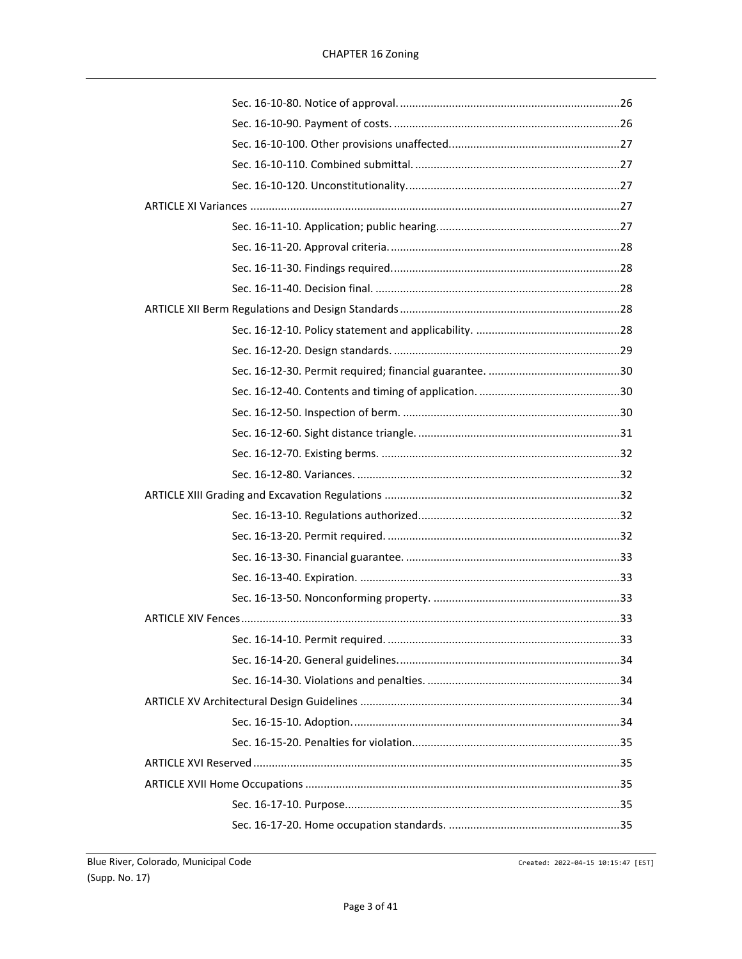Created: 2022-04-15 10:15:47 [EST]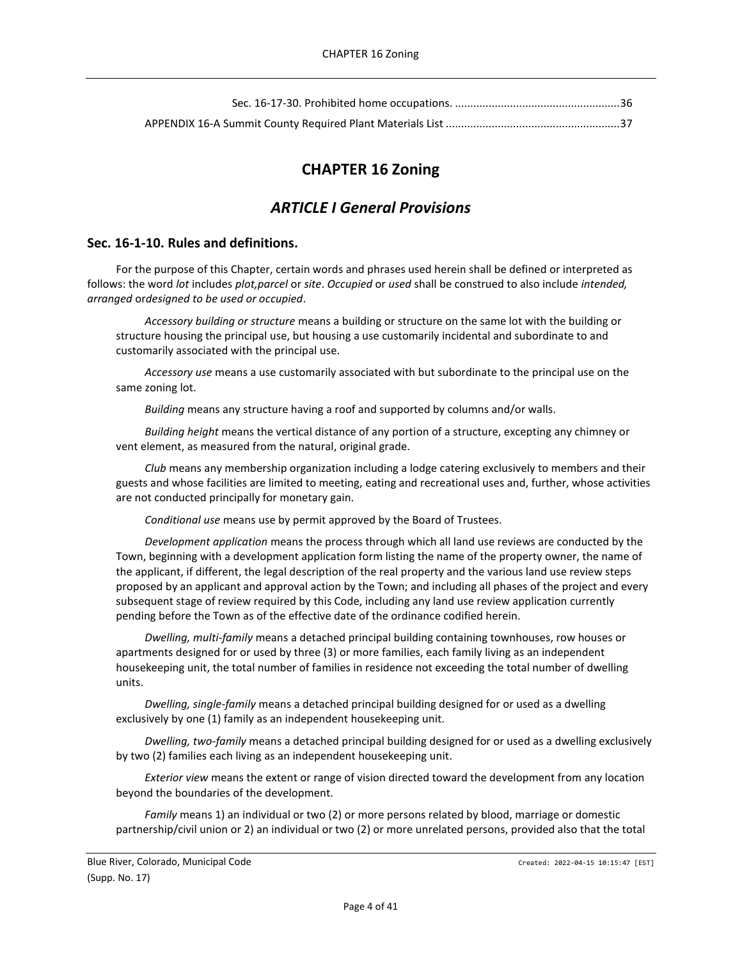# **CHAPTER 16 Zoning**

# *ARTICLE I General Provisions*

## <span id="page-3-2"></span><span id="page-3-1"></span><span id="page-3-0"></span>**Sec. 16-1-10. Rules and definitions.**

For the purpose of this Chapter, certain words and phrases used herein shall be defined or interpreted as follows: the word *lot* includes *plot,parcel* or *site*. *Occupied* or *used* shall be construed to also include *intended, arranged* or*designed to be used or occupied*.

*Accessory building or structure* means a building or structure on the same lot with the building or structure housing the principal use, but housing a use customarily incidental and subordinate to and customarily associated with the principal use.

*Accessory use* means a use customarily associated with but subordinate to the principal use on the same zoning lot.

*Building* means any structure having a roof and supported by columns and/or walls.

*Building height* means the vertical distance of any portion of a structure, excepting any chimney or vent element, as measured from the natural, original grade.

*Club* means any membership organization including a lodge catering exclusively to members and their guests and whose facilities are limited to meeting, eating and recreational uses and, further, whose activities are not conducted principally for monetary gain.

*Conditional use* means use by permit approved by the Board of Trustees.

*Development application* means the process through which all land use reviews are conducted by the Town, beginning with a development application form listing the name of the property owner, the name of the applicant, if different, the legal description of the real property and the various land use review steps proposed by an applicant and approval action by the Town; and including all phases of the project and every subsequent stage of review required by this Code, including any land use review application currently pending before the Town as of the effective date of the ordinance codified herein.

*Dwelling, multi-family* means a detached principal building containing townhouses, row houses or apartments designed for or used by three (3) or more families, each family living as an independent housekeeping unit, the total number of families in residence not exceeding the total number of dwelling units.

*Dwelling, single-family* means a detached principal building designed for or used as a dwelling exclusively by one (1) family as an independent housekeeping unit.

*Dwelling, two-family* means a detached principal building designed for or used as a dwelling exclusively by two (2) families each living as an independent housekeeping unit.

*Exterior view* means the extent or range of vision directed toward the development from any location beyond the boundaries of the development.

*Family* means 1) an individual or two (2) or more persons related by blood, marriage or domestic partnership/civil union or 2) an individual or two (2) or more unrelated persons, provided also that the total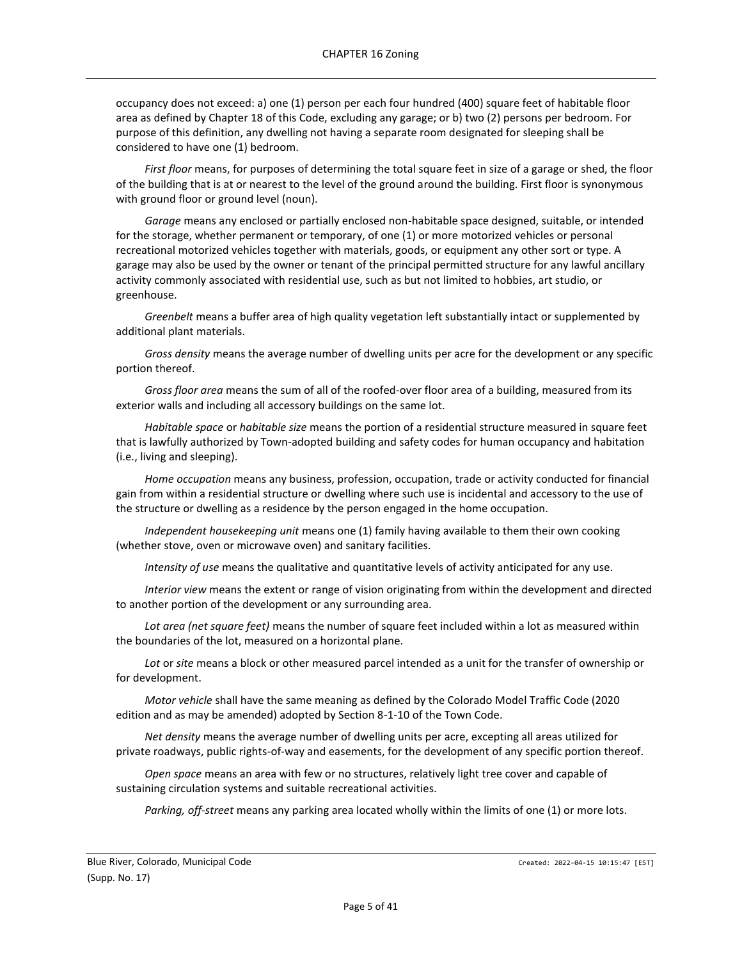occupancy does not exceed: a) one (1) person per each four hundred (400) square feet of habitable floor area as defined by Chapter 18 of this Code, excluding any garage; or b) two (2) persons per bedroom. For purpose of this definition, any dwelling not having a separate room designated for sleeping shall be considered to have one (1) bedroom.

*First floor* means, for purposes of determining the total square feet in size of a garage or shed, the floor of the building that is at or nearest to the level of the ground around the building. First floor is synonymous with ground floor or ground level (noun).

*Garage* means any enclosed or partially enclosed non-habitable space designed, suitable, or intended for the storage, whether permanent or temporary, of one (1) or more motorized vehicles or personal recreational motorized vehicles together with materials, goods, or equipment any other sort or type. A garage may also be used by the owner or tenant of the principal permitted structure for any lawful ancillary activity commonly associated with residential use, such as but not limited to hobbies, art studio, or greenhouse.

*Greenbelt* means a buffer area of high quality vegetation left substantially intact or supplemented by additional plant materials.

*Gross density* means the average number of dwelling units per acre for the development or any specific portion thereof.

*Gross floor area* means the sum of all of the roofed-over floor area of a building, measured from its exterior walls and including all accessory buildings on the same lot.

*Habitable space* or *habitable size* means the portion of a residential structure measured in square feet that is lawfully authorized by Town-adopted building and safety codes for human occupancy and habitation (i.e., living and sleeping).

*Home occupation* means any business, profession, occupation, trade or activity conducted for financial gain from within a residential structure or dwelling where such use is incidental and accessory to the use of the structure or dwelling as a residence by the person engaged in the home occupation.

*Independent housekeeping unit* means one (1) family having available to them their own cooking (whether stove, oven or microwave oven) and sanitary facilities.

*Intensity of use* means the qualitative and quantitative levels of activity anticipated for any use.

*Interior view* means the extent or range of vision originating from within the development and directed to another portion of the development or any surrounding area.

*Lot area (net square feet)* means the number of square feet included within a lot as measured within the boundaries of the lot, measured on a horizontal plane.

*Lot* or *site* means a block or other measured parcel intended as a unit for the transfer of ownership or for development.

*Motor vehicle* shall have the same meaning as defined by the Colorado Model Traffic Code (2020 edition and as may be amended) adopted by Section 8-1-10 of the Town Code.

*Net density* means the average number of dwelling units per acre, excepting all areas utilized for private roadways, public rights-of-way and easements, for the development of any specific portion thereof.

*Open space* means an area with few or no structures, relatively light tree cover and capable of sustaining circulation systems and suitable recreational activities.

*Parking, off-street* means any parking area located wholly within the limits of one (1) or more lots.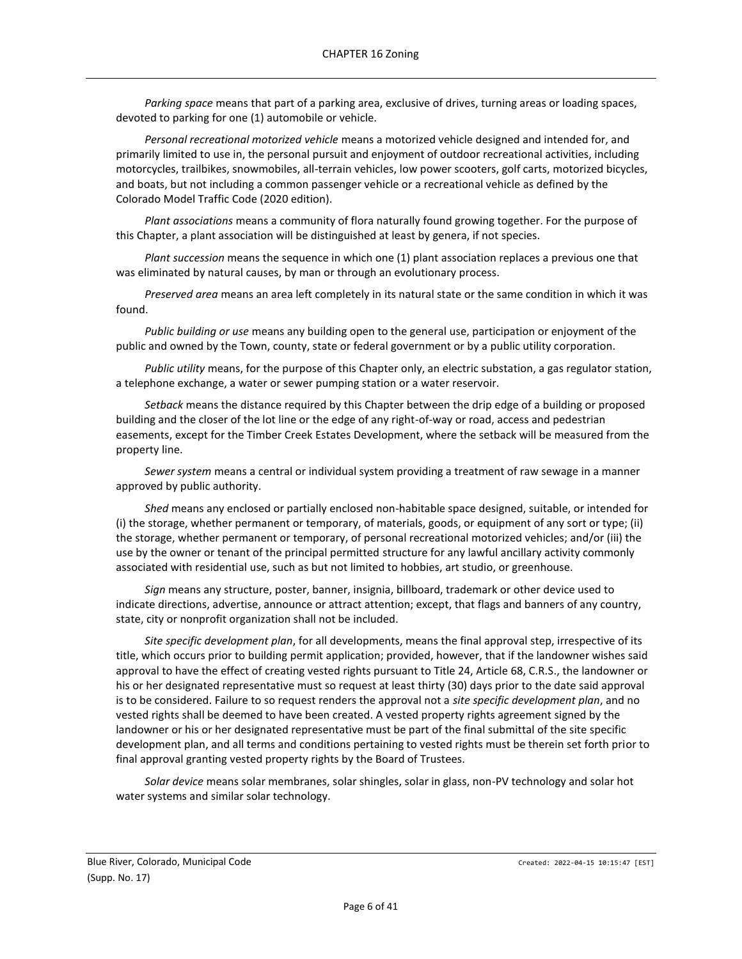*Parking space* means that part of a parking area, exclusive of drives, turning areas or loading spaces, devoted to parking for one (1) automobile or vehicle.

*Personal recreational motorized vehicle* means a motorized vehicle designed and intended for, and primarily limited to use in, the personal pursuit and enjoyment of outdoor recreational activities, including motorcycles, trailbikes, snowmobiles, all-terrain vehicles, low power scooters, golf carts, motorized bicycles, and boats, but not including a common passenger vehicle or a recreational vehicle as defined by the Colorado Model Traffic Code (2020 edition).

*Plant associations* means a community of flora naturally found growing together. For the purpose of this Chapter, a plant association will be distinguished at least by genera, if not species.

*Plant succession* means the sequence in which one (1) plant association replaces a previous one that was eliminated by natural causes, by man or through an evolutionary process.

*Preserved area* means an area left completely in its natural state or the same condition in which it was found.

*Public building or use* means any building open to the general use, participation or enjoyment of the public and owned by the Town, county, state or federal government or by a public utility corporation.

*Public utility* means, for the purpose of this Chapter only, an electric substation, a gas regulator station, a telephone exchange, a water or sewer pumping station or a water reservoir.

*Setback* means the distance required by this Chapter between the drip edge of a building or proposed building and the closer of the lot line or the edge of any right-of-way or road, access and pedestrian easements, except for the Timber Creek Estates Development, where the setback will be measured from the property line.

*Sewer system* means a central or individual system providing a treatment of raw sewage in a manner approved by public authority.

*Shed* means any enclosed or partially enclosed non-habitable space designed, suitable, or intended for (i) the storage, whether permanent or temporary, of materials, goods, or equipment of any sort or type; (ii) the storage, whether permanent or temporary, of personal recreational motorized vehicles; and/or (iii) the use by the owner or tenant of the principal permitted structure for any lawful ancillary activity commonly associated with residential use, such as but not limited to hobbies, art studio, or greenhouse.

*Sign* means any structure, poster, banner, insignia, billboard, trademark or other device used to indicate directions, advertise, announce or attract attention; except, that flags and banners of any country, state, city or nonprofit organization shall not be included.

*Site specific development plan*, for all developments, means the final approval step, irrespective of its title, which occurs prior to building permit application; provided, however, that if the landowner wishes said approval to have the effect of creating vested rights pursuant to Title 24, Article 68, C.R.S., the landowner or his or her designated representative must so request at least thirty (30) days prior to the date said approval is to be considered. Failure to so request renders the approval not a *site specific development plan*, and no vested rights shall be deemed to have been created. A vested property rights agreement signed by the landowner or his or her designated representative must be part of the final submittal of the site specific development plan, and all terms and conditions pertaining to vested rights must be therein set forth prior to final approval granting vested property rights by the Board of Trustees.

*Solar device* means solar membranes, solar shingles, solar in glass, non-PV technology and solar hot water systems and similar solar technology.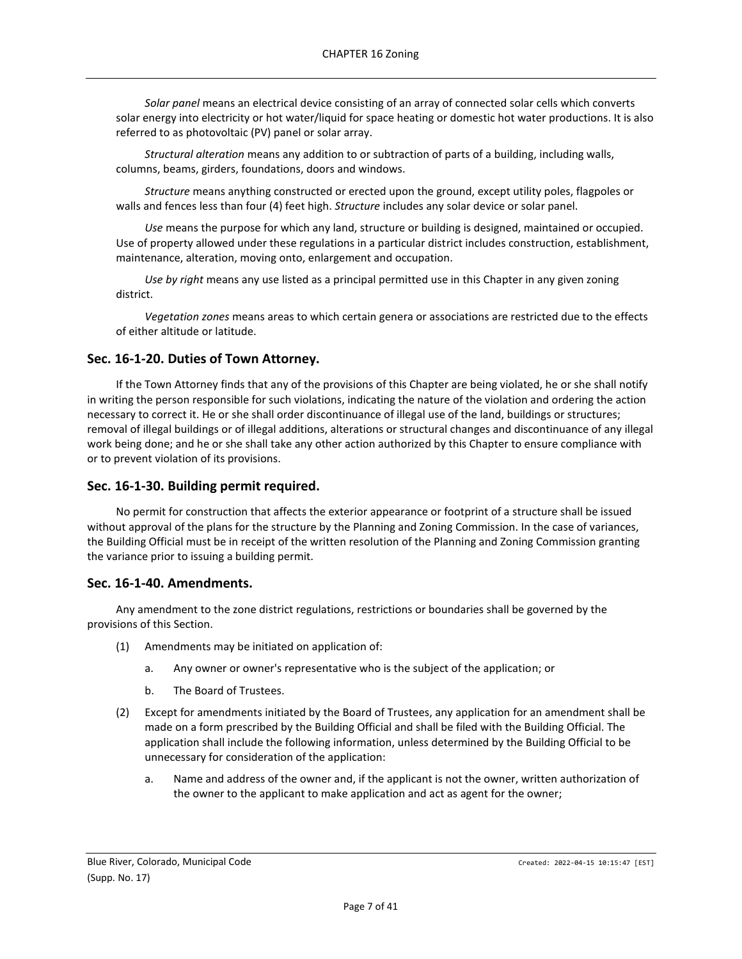*Solar panel* means an electrical device consisting of an array of connected solar cells which converts solar energy into electricity or hot water/liquid for space heating or domestic hot water productions. It is also referred to as photovoltaic (PV) panel or solar array.

*Structural alteration* means any addition to or subtraction of parts of a building, including walls, columns, beams, girders, foundations, doors and windows.

*Structure* means anything constructed or erected upon the ground, except utility poles, flagpoles or walls and fences less than four (4) feet high. *Structure* includes any solar device or solar panel.

*Use* means the purpose for which any land, structure or building is designed, maintained or occupied. Use of property allowed under these regulations in a particular district includes construction, establishment, maintenance, alteration, moving onto, enlargement and occupation.

*Use by right* means any use listed as a principal permitted use in this Chapter in any given zoning district.

*Vegetation zones* means areas to which certain genera or associations are restricted due to the effects of either altitude or latitude.

### <span id="page-6-0"></span>**Sec. 16-1-20. Duties of Town Attorney.**

If the Town Attorney finds that any of the provisions of this Chapter are being violated, he or she shall notify in writing the person responsible for such violations, indicating the nature of the violation and ordering the action necessary to correct it. He or she shall order discontinuance of illegal use of the land, buildings or structures; removal of illegal buildings or of illegal additions, alterations or structural changes and discontinuance of any illegal work being done; and he or she shall take any other action authorized by this Chapter to ensure compliance with or to prevent violation of its provisions.

#### <span id="page-6-1"></span>**Sec. 16-1-30. Building permit required.**

No permit for construction that affects the exterior appearance or footprint of a structure shall be issued without approval of the plans for the structure by the Planning and Zoning Commission. In the case of variances, the Building Official must be in receipt of the written resolution of the Planning and Zoning Commission granting the variance prior to issuing a building permit.

#### <span id="page-6-2"></span>**Sec. 16-1-40. Amendments.**

Any amendment to the zone district regulations, restrictions or boundaries shall be governed by the provisions of this Section.

- (1) Amendments may be initiated on application of:
	- a. Any owner or owner's representative who is the subject of the application; or
	- b. The Board of Trustees.
- (2) Except for amendments initiated by the Board of Trustees, any application for an amendment shall be made on a form prescribed by the Building Official and shall be filed with the Building Official. The application shall include the following information, unless determined by the Building Official to be unnecessary for consideration of the application:
	- a. Name and address of the owner and, if the applicant is not the owner, written authorization of the owner to the applicant to make application and act as agent for the owner;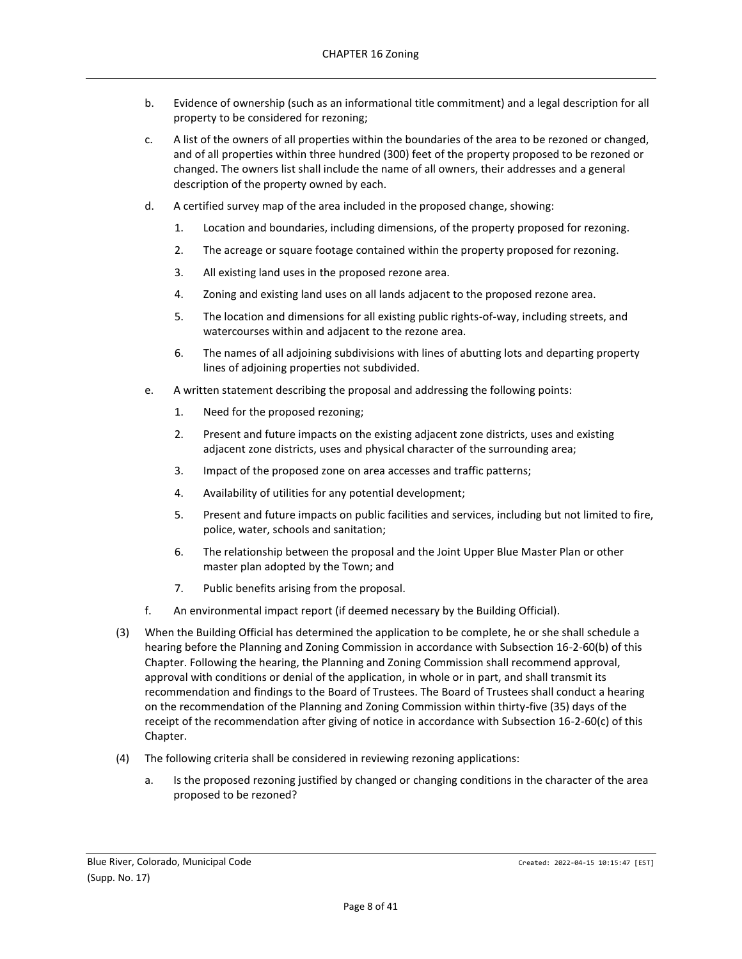- b. Evidence of ownership (such as an informational title commitment) and a legal description for all property to be considered for rezoning;
- c. A list of the owners of all properties within the boundaries of the area to be rezoned or changed, and of all properties within three hundred (300) feet of the property proposed to be rezoned or changed. The owners list shall include the name of all owners, their addresses and a general description of the property owned by each.
- d. A certified survey map of the area included in the proposed change, showing:
	- 1. Location and boundaries, including dimensions, of the property proposed for rezoning.
	- 2. The acreage or square footage contained within the property proposed for rezoning.
	- 3. All existing land uses in the proposed rezone area.
	- 4. Zoning and existing land uses on all lands adjacent to the proposed rezone area.
	- 5. The location and dimensions for all existing public rights-of-way, including streets, and watercourses within and adjacent to the rezone area.
	- 6. The names of all adjoining subdivisions with lines of abutting lots and departing property lines of adjoining properties not subdivided.
- e. A written statement describing the proposal and addressing the following points:
	- 1. Need for the proposed rezoning;
	- 2. Present and future impacts on the existing adjacent zone districts, uses and existing adjacent zone districts, uses and physical character of the surrounding area;
	- 3. Impact of the proposed zone on area accesses and traffic patterns;
	- 4. Availability of utilities for any potential development;
	- 5. Present and future impacts on public facilities and services, including but not limited to fire, police, water, schools and sanitation;
	- 6. The relationship between the proposal and the Joint Upper Blue Master Plan or other master plan adopted by the Town; and
	- 7. Public benefits arising from the proposal.
- f. An environmental impact report (if deemed necessary by the Building Official).
- (3) When the Building Official has determined the application to be complete, he or she shall schedule a hearing before the Planning and Zoning Commission in accordance with Subsection 16-2-60(b) of this Chapter. Following the hearing, the Planning and Zoning Commission shall recommend approval, approval with conditions or denial of the application, in whole or in part, and shall transmit its recommendation and findings to the Board of Trustees. The Board of Trustees shall conduct a hearing on the recommendation of the Planning and Zoning Commission within thirty-five (35) days of the receipt of the recommendation after giving of notice in accordance with Subsection 16-2-60(c) of this Chapter.
- (4) The following criteria shall be considered in reviewing rezoning applications:
	- a. Is the proposed rezoning justified by changed or changing conditions in the character of the area proposed to be rezoned?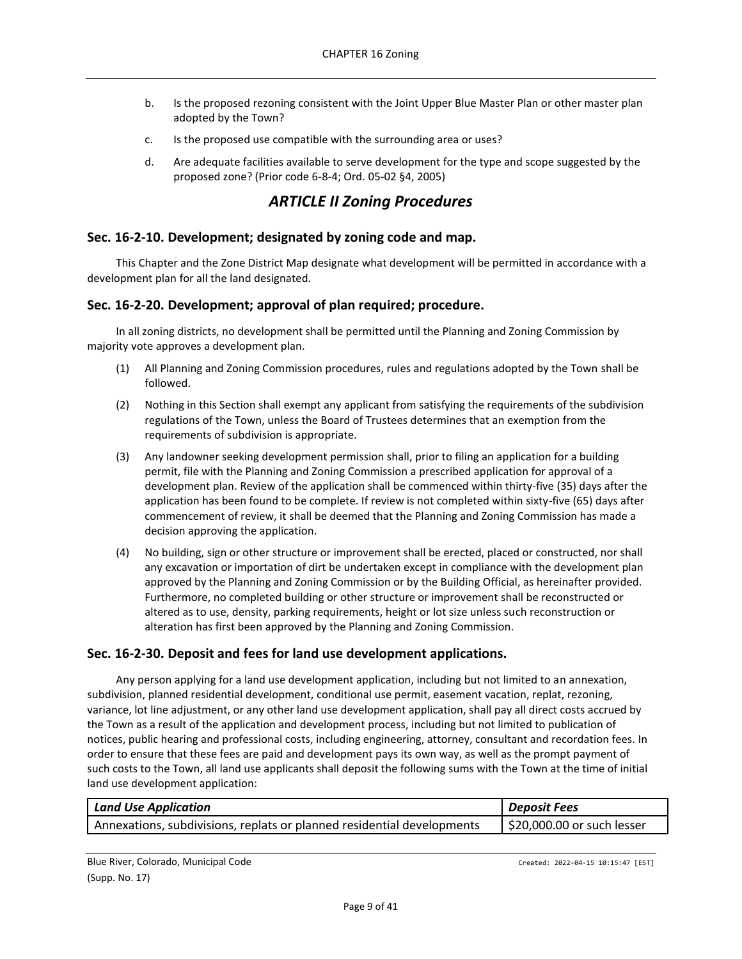- b. Is the proposed rezoning consistent with the Joint Upper Blue Master Plan or other master plan adopted by the Town?
- c. Is the proposed use compatible with the surrounding area or uses?
- d. Are adequate facilities available to serve development for the type and scope suggested by the proposed zone? (Prior code 6-8-4; Ord. 05-02 §4, 2005)

## *ARTICLE II Zoning Procedures*

## <span id="page-8-1"></span><span id="page-8-0"></span>**Sec. 16-2-10. Development; designated by zoning code and map.**

This Chapter and the Zone District Map designate what development will be permitted in accordance with a development plan for all the land designated.

### <span id="page-8-2"></span>**Sec. 16-2-20. Development; approval of plan required; procedure.**

In all zoning districts, no development shall be permitted until the Planning and Zoning Commission by majority vote approves a development plan.

- (1) All Planning and Zoning Commission procedures, rules and regulations adopted by the Town shall be followed.
- (2) Nothing in this Section shall exempt any applicant from satisfying the requirements of the subdivision regulations of the Town, unless the Board of Trustees determines that an exemption from the requirements of subdivision is appropriate.
- (3) Any landowner seeking development permission shall, prior to filing an application for a building permit, file with the Planning and Zoning Commission a prescribed application for approval of a development plan. Review of the application shall be commenced within thirty-five (35) days after the application has been found to be complete. If review is not completed within sixty-five (65) days after commencement of review, it shall be deemed that the Planning and Zoning Commission has made a decision approving the application.
- (4) No building, sign or other structure or improvement shall be erected, placed or constructed, nor shall any excavation or importation of dirt be undertaken except in compliance with the development plan approved by the Planning and Zoning Commission or by the Building Official, as hereinafter provided. Furthermore, no completed building or other structure or improvement shall be reconstructed or altered as to use, density, parking requirements, height or lot size unless such reconstruction or alteration has first been approved by the Planning and Zoning Commission.

### <span id="page-8-3"></span>**Sec. 16-2-30. Deposit and fees for land use development applications.**

Any person applying for a land use development application, including but not limited to an annexation, subdivision, planned residential development, conditional use permit, easement vacation, replat, rezoning, variance, lot line adjustment, or any other land use development application, shall pay all direct costs accrued by the Town as a result of the application and development process, including but not limited to publication of notices, public hearing and professional costs, including engineering, attorney, consultant and recordation fees. In order to ensure that these fees are paid and development pays its own way, as well as the prompt payment of such costs to the Town, all land use applicants shall deposit the following sums with the Town at the time of initial land use development application:

| <b>Land Use Application</b>                                            | <b>Deposit Fees</b>        |
|------------------------------------------------------------------------|----------------------------|
| Annexations, subdivisions, replats or planned residential developments | \$20,000.00 or such lesser |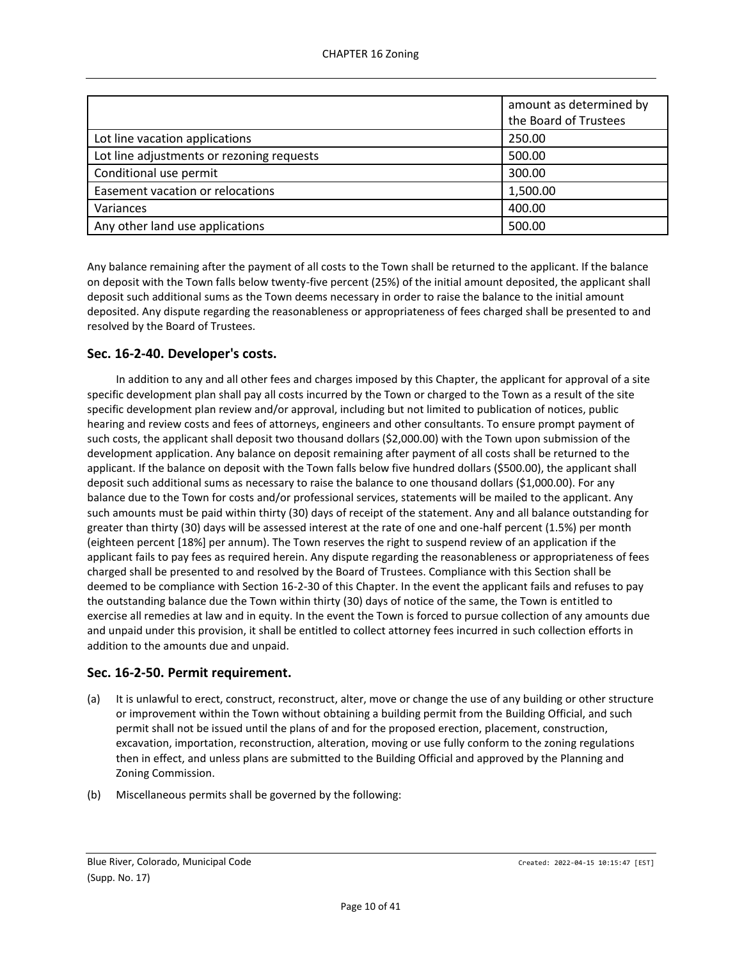|                                           | amount as determined by<br>the Board of Trustees |
|-------------------------------------------|--------------------------------------------------|
| Lot line vacation applications            | 250.00                                           |
| Lot line adjustments or rezoning requests | 500.00                                           |
| Conditional use permit                    | 300.00                                           |
| Easement vacation or relocations          | 1,500.00                                         |
| Variances                                 | 400.00                                           |
| Any other land use applications           | 500.00                                           |

Any balance remaining after the payment of all costs to the Town shall be returned to the applicant. If the balance on deposit with the Town falls below twenty-five percent (25%) of the initial amount deposited, the applicant shall deposit such additional sums as the Town deems necessary in order to raise the balance to the initial amount deposited. Any dispute regarding the reasonableness or appropriateness of fees charged shall be presented to and resolved by the Board of Trustees.

## <span id="page-9-0"></span>**Sec. 16-2-40. Developer's costs.**

In addition to any and all other fees and charges imposed by this Chapter, the applicant for approval of a site specific development plan shall pay all costs incurred by the Town or charged to the Town as a result of the site specific development plan review and/or approval, including but not limited to publication of notices, public hearing and review costs and fees of attorneys, engineers and other consultants. To ensure prompt payment of such costs, the applicant shall deposit two thousand dollars (\$2,000.00) with the Town upon submission of the development application. Any balance on deposit remaining after payment of all costs shall be returned to the applicant. If the balance on deposit with the Town falls below five hundred dollars (\$500.00), the applicant shall deposit such additional sums as necessary to raise the balance to one thousand dollars (\$1,000.00). For any balance due to the Town for costs and/or professional services, statements will be mailed to the applicant. Any such amounts must be paid within thirty (30) days of receipt of the statement. Any and all balance outstanding for greater than thirty (30) days will be assessed interest at the rate of one and one-half percent (1.5%) per month (eighteen percent [18%] per annum). The Town reserves the right to suspend review of an application if the applicant fails to pay fees as required herein. Any dispute regarding the reasonableness or appropriateness of fees charged shall be presented to and resolved by the Board of Trustees. Compliance with this Section shall be deemed to be compliance with Section 16-2-30 of this Chapter. In the event the applicant fails and refuses to pay the outstanding balance due the Town within thirty (30) days of notice of the same, the Town is entitled to exercise all remedies at law and in equity. In the event the Town is forced to pursue collection of any amounts due and unpaid under this provision, it shall be entitled to collect attorney fees incurred in such collection efforts in addition to the amounts due and unpaid.

## <span id="page-9-1"></span>**Sec. 16-2-50. Permit requirement.**

- (a) It is unlawful to erect, construct, reconstruct, alter, move or change the use of any building or other structure or improvement within the Town without obtaining a building permit from the Building Official, and such permit shall not be issued until the plans of and for the proposed erection, placement, construction, excavation, importation, reconstruction, alteration, moving or use fully conform to the zoning regulations then in effect, and unless plans are submitted to the Building Official and approved by the Planning and Zoning Commission.
- (b) Miscellaneous permits shall be governed by the following: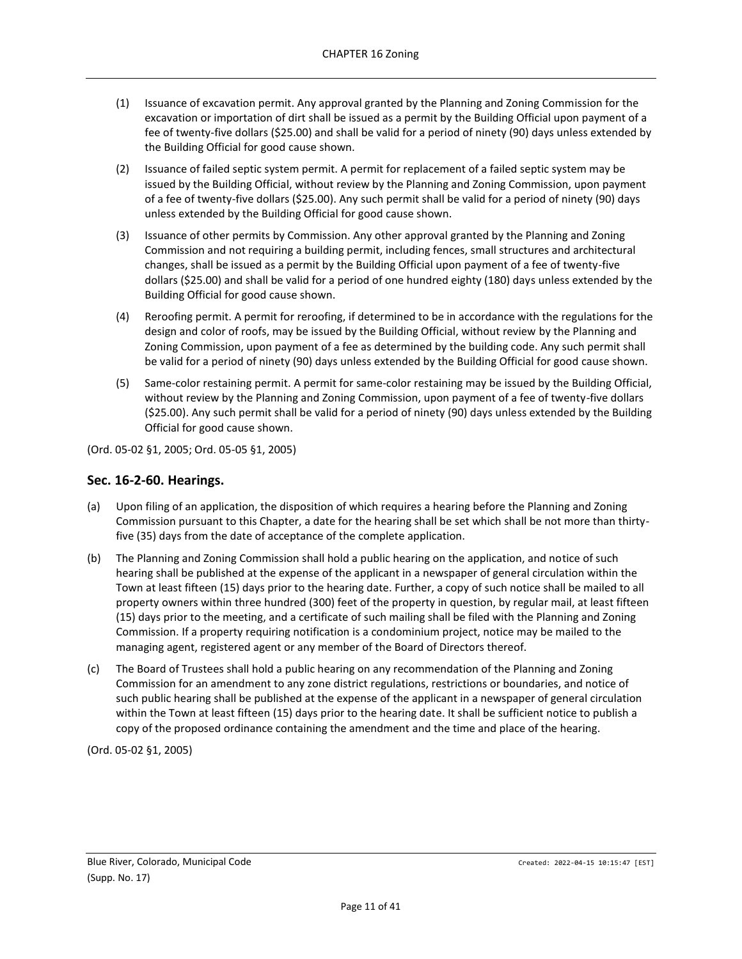- (1) Issuance of excavation permit. Any approval granted by the Planning and Zoning Commission for the excavation or importation of dirt shall be issued as a permit by the Building Official upon payment of a fee of twenty-five dollars (\$25.00) and shall be valid for a period of ninety (90) days unless extended by the Building Official for good cause shown.
- (2) Issuance of failed septic system permit. A permit for replacement of a failed septic system may be issued by the Building Official, without review by the Planning and Zoning Commission, upon payment of a fee of twenty-five dollars (\$25.00). Any such permit shall be valid for a period of ninety (90) days unless extended by the Building Official for good cause shown.
- (3) Issuance of other permits by Commission. Any other approval granted by the Planning and Zoning Commission and not requiring a building permit, including fences, small structures and architectural changes, shall be issued as a permit by the Building Official upon payment of a fee of twenty-five dollars (\$25.00) and shall be valid for a period of one hundred eighty (180) days unless extended by the Building Official for good cause shown.
- (4) Reroofing permit. A permit for reroofing, if determined to be in accordance with the regulations for the design and color of roofs, may be issued by the Building Official, without review by the Planning and Zoning Commission, upon payment of a fee as determined by the building code. Any such permit shall be valid for a period of ninety (90) days unless extended by the Building Official for good cause shown.
- (5) Same-color restaining permit. A permit for same-color restaining may be issued by the Building Official, without review by the Planning and Zoning Commission, upon payment of a fee of twenty-five dollars (\$25.00). Any such permit shall be valid for a period of ninety (90) days unless extended by the Building Official for good cause shown.

(Ord. 05-02 §1, 2005; Ord. 05-05 §1, 2005)

### <span id="page-10-0"></span>**Sec. 16-2-60. Hearings.**

- (a) Upon filing of an application, the disposition of which requires a hearing before the Planning and Zoning Commission pursuant to this Chapter, a date for the hearing shall be set which shall be not more than thirtyfive (35) days from the date of acceptance of the complete application.
- (b) The Planning and Zoning Commission shall hold a public hearing on the application, and notice of such hearing shall be published at the expense of the applicant in a newspaper of general circulation within the Town at least fifteen (15) days prior to the hearing date. Further, a copy of such notice shall be mailed to all property owners within three hundred (300) feet of the property in question, by regular mail, at least fifteen (15) days prior to the meeting, and a certificate of such mailing shall be filed with the Planning and Zoning Commission. If a property requiring notification is a condominium project, notice may be mailed to the managing agent, registered agent or any member of the Board of Directors thereof.
- (c) The Board of Trustees shall hold a public hearing on any recommendation of the Planning and Zoning Commission for an amendment to any zone district regulations, restrictions or boundaries, and notice of such public hearing shall be published at the expense of the applicant in a newspaper of general circulation within the Town at least fifteen (15) days prior to the hearing date. It shall be sufficient notice to publish a copy of the proposed ordinance containing the amendment and the time and place of the hearing.

(Ord. 05-02 §1, 2005)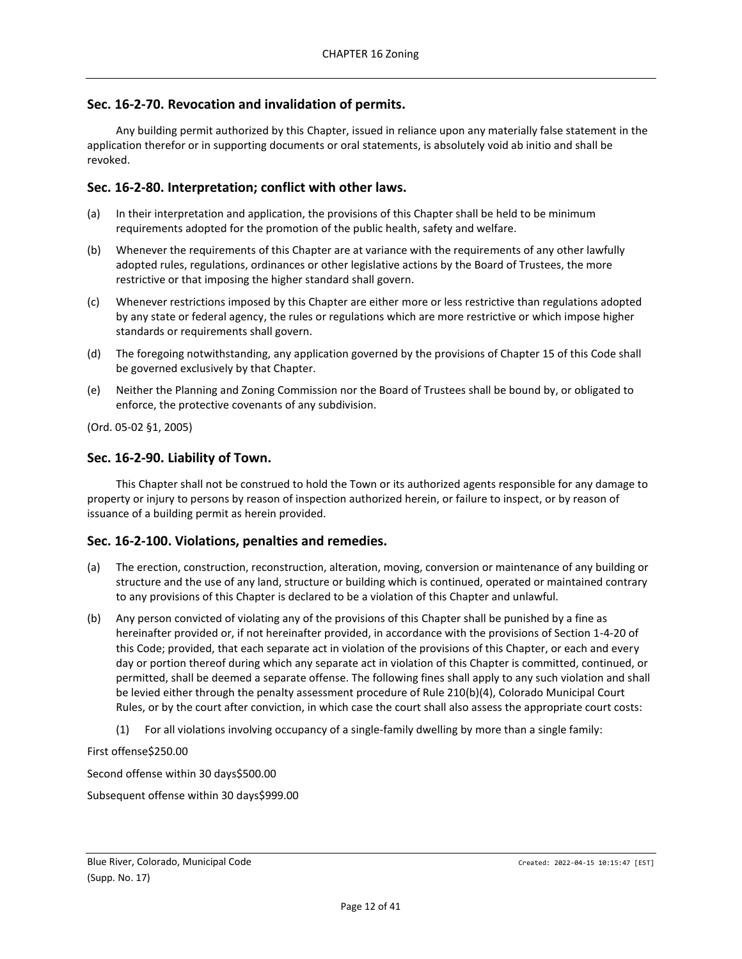## <span id="page-11-0"></span>**Sec. 16-2-70. Revocation and invalidation of permits.**

Any building permit authorized by this Chapter, issued in reliance upon any materially false statement in the application therefor or in supporting documents or oral statements, is absolutely void ab initio and shall be revoked.

## <span id="page-11-1"></span>**Sec. 16-2-80. Interpretation; conflict with other laws.**

- (a) In their interpretation and application, the provisions of this Chapter shall be held to be minimum requirements adopted for the promotion of the public health, safety and welfare.
- (b) Whenever the requirements of this Chapter are at variance with the requirements of any other lawfully adopted rules, regulations, ordinances or other legislative actions by the Board of Trustees, the more restrictive or that imposing the higher standard shall govern.
- (c) Whenever restrictions imposed by this Chapter are either more or less restrictive than regulations adopted by any state or federal agency, the rules or regulations which are more restrictive or which impose higher standards or requirements shall govern.
- (d) The foregoing notwithstanding, any application governed by the provisions of Chapter 15 of this Code shall be governed exclusively by that Chapter.
- (e) Neither the Planning and Zoning Commission nor the Board of Trustees shall be bound by, or obligated to enforce, the protective covenants of any subdivision.

(Ord. 05-02 §1, 2005)

## <span id="page-11-2"></span>**Sec. 16-2-90. Liability of Town.**

This Chapter shall not be construed to hold the Town or its authorized agents responsible for any damage to property or injury to persons by reason of inspection authorized herein, or failure to inspect, or by reason of issuance of a building permit as herein provided.

## <span id="page-11-3"></span>**Sec. 16-2-100. Violations, penalties and remedies.**

- (a) The erection, construction, reconstruction, alteration, moving, conversion or maintenance of any building or structure and the use of any land, structure or building which is continued, operated or maintained contrary to any provisions of this Chapter is declared to be a violation of this Chapter and unlawful.
- (b) Any person convicted of violating any of the provisions of this Chapter shall be punished by a fine as hereinafter provided or, if not hereinafter provided, in accordance with the provisions of Section 1-4-20 of this Code; provided, that each separate act in violation of the provisions of this Chapter, or each and every day or portion thereof during which any separate act in violation of this Chapter is committed, continued, or permitted, shall be deemed a separate offense. The following fines shall apply to any such violation and shall be levied either through the penalty assessment procedure of Rule 210(b)(4), Colorado Municipal Court Rules, or by the court after conviction, in which case the court shall also assess the appropriate court costs:
	- (1) For all violations involving occupancy of a single-family dwelling by more than a single family:

First offense\$250.00

Second offense within 30 days\$500.00

Subsequent offense within 30 days\$999.00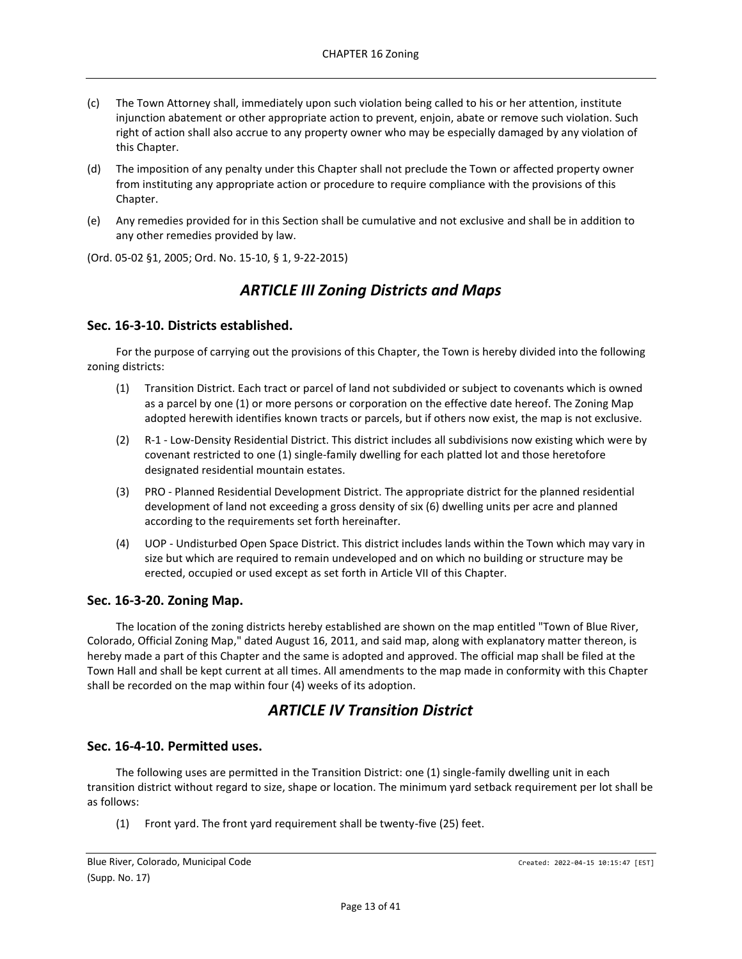- (c) The Town Attorney shall, immediately upon such violation being called to his or her attention, institute injunction abatement or other appropriate action to prevent, enjoin, abate or remove such violation. Such right of action shall also accrue to any property owner who may be especially damaged by any violation of this Chapter.
- (d) The imposition of any penalty under this Chapter shall not preclude the Town or affected property owner from instituting any appropriate action or procedure to require compliance with the provisions of this Chapter.
- (e) Any remedies provided for in this Section shall be cumulative and not exclusive and shall be in addition to any other remedies provided by law.

<span id="page-12-0"></span>(Ord. 05-02 §1, 2005; Ord. No. 15-10, § 1, 9-22-2015)

# *ARTICLE III Zoning Districts and Maps*

## <span id="page-12-1"></span>**Sec. 16-3-10. Districts established.**

For the purpose of carrying out the provisions of this Chapter, the Town is hereby divided into the following zoning districts:

- (1) Transition District. Each tract or parcel of land not subdivided or subject to covenants which is owned as a parcel by one (1) or more persons or corporation on the effective date hereof. The Zoning Map adopted herewith identifies known tracts or parcels, but if others now exist, the map is not exclusive.
- (2) R-1 Low-Density Residential District. This district includes all subdivisions now existing which were by covenant restricted to one (1) single-family dwelling for each platted lot and those heretofore designated residential mountain estates.
- (3) PRO Planned Residential Development District. The appropriate district for the planned residential development of land not exceeding a gross density of six (6) dwelling units per acre and planned according to the requirements set forth hereinafter.
- (4) UOP Undisturbed Open Space District. This district includes lands within the Town which may vary in size but which are required to remain undeveloped and on which no building or structure may be erected, occupied or used except as set forth in Article VII of this Chapter.

### <span id="page-12-2"></span>**Sec. 16-3-20. Zoning Map.**

The location of the zoning districts hereby established are shown on the map entitled "Town of Blue River, Colorado, Official Zoning Map," dated August 16, 2011, and said map, along with explanatory matter thereon, is hereby made a part of this Chapter and the same is adopted and approved. The official map shall be filed at the Town Hall and shall be kept current at all times. All amendments to the map made in conformity with this Chapter shall be recorded on the map within four (4) weeks of its adoption.

# *ARTICLE IV Transition District*

## <span id="page-12-4"></span><span id="page-12-3"></span>**Sec. 16-4-10. Permitted uses.**

The following uses are permitted in the Transition District: one (1) single-family dwelling unit in each transition district without regard to size, shape or location. The minimum yard setback requirement per lot shall be as follows:

(1) Front yard. The front yard requirement shall be twenty-five (25) feet.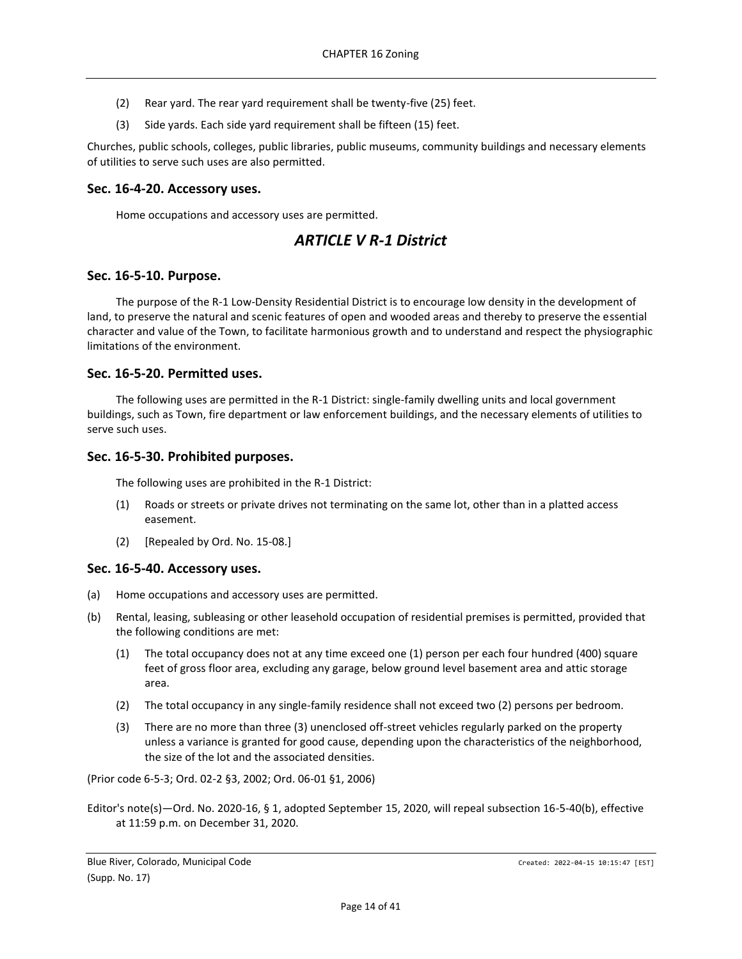- (2) Rear yard. The rear yard requirement shall be twenty-five (25) feet.
- (3) Side yards. Each side yard requirement shall be fifteen (15) feet.

Churches, public schools, colleges, public libraries, public museums, community buildings and necessary elements of utilities to serve such uses are also permitted.

## <span id="page-13-0"></span>**Sec. 16-4-20. Accessory uses.**

<span id="page-13-1"></span>Home occupations and accessory uses are permitted.

## *ARTICLE V R-1 District*

## <span id="page-13-2"></span>**Sec. 16-5-10. Purpose.**

The purpose of the R-1 Low-Density Residential District is to encourage low density in the development of land, to preserve the natural and scenic features of open and wooded areas and thereby to preserve the essential character and value of the Town, to facilitate harmonious growth and to understand and respect the physiographic limitations of the environment.

### <span id="page-13-3"></span>**Sec. 16-5-20. Permitted uses.**

The following uses are permitted in the R-1 District: single-family dwelling units and local government buildings, such as Town, fire department or law enforcement buildings, and the necessary elements of utilities to serve such uses.

## <span id="page-13-4"></span>**Sec. 16-5-30. Prohibited purposes.**

The following uses are prohibited in the R-1 District:

- (1) Roads or streets or private drives not terminating on the same lot, other than in a platted access easement.
- (2) [Repealed by Ord. No. 15-08.]

### <span id="page-13-5"></span>**Sec. 16-5-40. Accessory uses.**

- (a) Home occupations and accessory uses are permitted.
- (b) Rental, leasing, subleasing or other leasehold occupation of residential premises is permitted, provided that the following conditions are met:
	- (1) The total occupancy does not at any time exceed one (1) person per each four hundred (400) square feet of gross floor area, excluding any garage, below ground level basement area and attic storage area.
	- (2) The total occupancy in any single-family residence shall not exceed two (2) persons per bedroom.
	- (3) There are no more than three (3) unenclosed off-street vehicles regularly parked on the property unless a variance is granted for good cause, depending upon the characteristics of the neighborhood, the size of the lot and the associated densities.

(Prior code 6-5-3; Ord. 02-2 §3, 2002; Ord. 06-01 §1, 2006)

Editor's note(s)—Ord. No. 2020-16, § 1, adopted September 15, 2020, will repeal subsection 16-5-40(b), effective at 11:59 p.m. on December 31, 2020.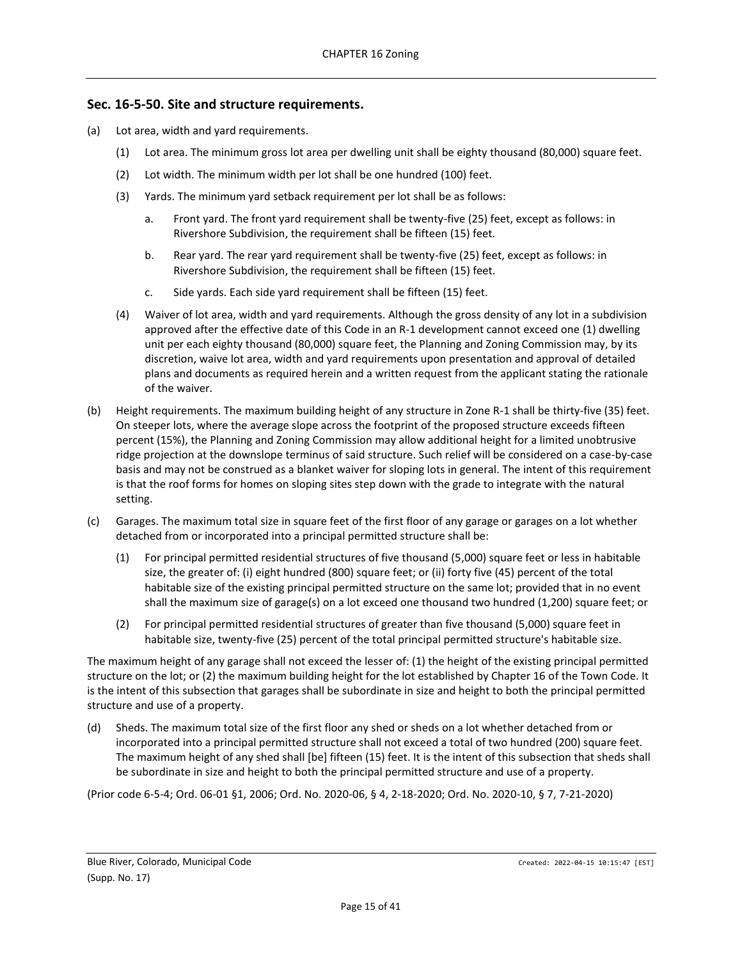## <span id="page-14-0"></span>**Sec. 16-5-50. Site and structure requirements.**

- (a) Lot area, width and yard requirements.
	- (1) Lot area. The minimum gross lot area per dwelling unit shall be eighty thousand (80,000) square feet.
	- (2) Lot width. The minimum width per lot shall be one hundred (100) feet.
	- (3) Yards. The minimum yard setback requirement per lot shall be as follows:
		- a. Front yard. The front yard requirement shall be twenty-five (25) feet, except as follows: in Rivershore Subdivision, the requirement shall be fifteen (15) feet.
		- b. Rear yard. The rear yard requirement shall be twenty-five (25) feet, except as follows: in Rivershore Subdivision, the requirement shall be fifteen (15) feet.
		- c. Side yards. Each side yard requirement shall be fifteen (15) feet.
	- (4) Waiver of lot area, width and yard requirements. Although the gross density of any lot in a subdivision approved after the effective date of this Code in an R-1 development cannot exceed one (1) dwelling unit per each eighty thousand (80,000) square feet, the Planning and Zoning Commission may, by its discretion, waive lot area, width and yard requirements upon presentation and approval of detailed plans and documents as required herein and a written request from the applicant stating the rationale of the waiver.
- (b) Height requirements. The maximum building height of any structure in Zone R-1 shall be thirty-five (35) feet. On steeper lots, where the average slope across the footprint of the proposed structure exceeds fifteen percent (15%), the Planning and Zoning Commission may allow additional height for a limited unobtrusive ridge projection at the downslope terminus of said structure. Such relief will be considered on a case-by-case basis and may not be construed as a blanket waiver for sloping lots in general. The intent of this requirement is that the roof forms for homes on sloping sites step down with the grade to integrate with the natural setting.
- (c) Garages. The maximum total size in square feet of the first floor of any garage or garages on a lot whether detached from or incorporated into a principal permitted structure shall be:
	- (1) For principal permitted residential structures of five thousand (5,000) square feet or less in habitable size, the greater of: (i) eight hundred (800) square feet; or (ii) forty five (45) percent of the total habitable size of the existing principal permitted structure on the same lot; provided that in no event shall the maximum size of garage(s) on a lot exceed one thousand two hundred (1,200) square feet; or
	- (2) For principal permitted residential structures of greater than five thousand (5,000) square feet in habitable size, twenty-five (25) percent of the total principal permitted structure's habitable size.

The maximum height of any garage shall not exceed the lesser of: (1) the height of the existing principal permitted structure on the lot; or (2) the maximum building height for the lot established by Chapter 16 of the Town Code. It is the intent of this subsection that garages shall be subordinate in size and height to both the principal permitted structure and use of a property.

(d) Sheds. The maximum total size of the first floor any shed or sheds on a lot whether detached from or incorporated into a principal permitted structure shall not exceed a total of two hundred (200) square feet. The maximum height of any shed shall [be] fifteen (15) feet. It is the intent of this subsection that sheds shall be subordinate in size and height to both the principal permitted structure and use of a property.

(Prior code 6-5-4; Ord. 06-01 §1, 2006; Ord. No. 2020-06, § 4, 2-18-2020; Ord. No. 2020-10, § 7, 7-21-2020)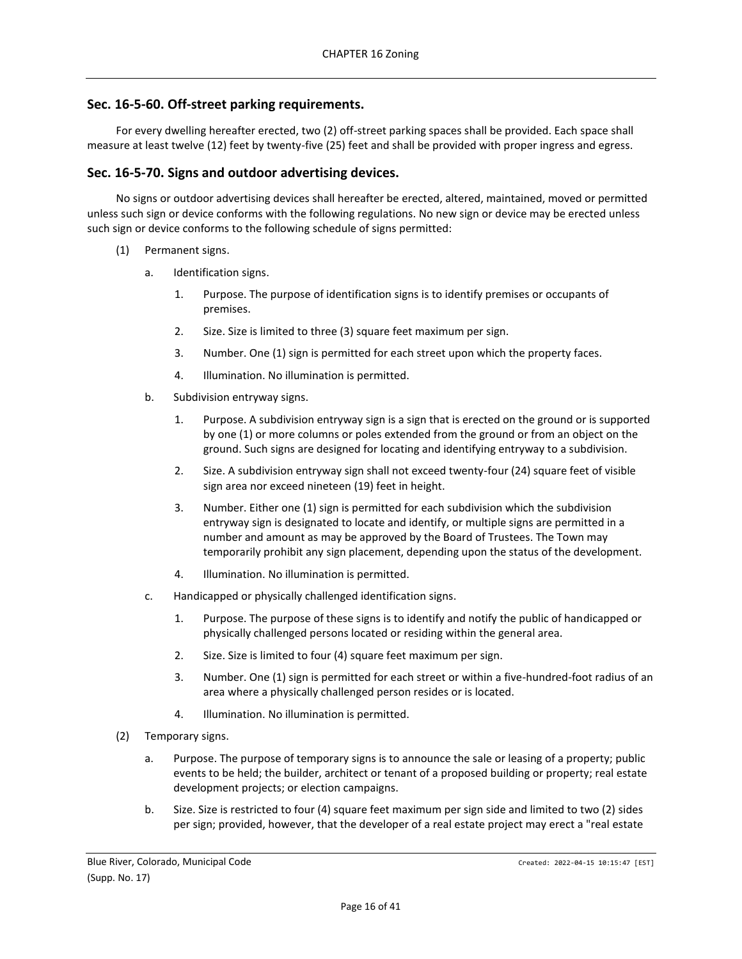## <span id="page-15-0"></span>**Sec. 16-5-60. Off-street parking requirements.**

For every dwelling hereafter erected, two (2) off-street parking spaces shall be provided. Each space shall measure at least twelve (12) feet by twenty-five (25) feet and shall be provided with proper ingress and egress.

## <span id="page-15-1"></span>**Sec. 16-5-70. Signs and outdoor advertising devices.**

No signs or outdoor advertising devices shall hereafter be erected, altered, maintained, moved or permitted unless such sign or device conforms with the following regulations. No new sign or device may be erected unless such sign or device conforms to the following schedule of signs permitted:

- (1) Permanent signs.
	- a. Identification signs.
		- 1. Purpose. The purpose of identification signs is to identify premises or occupants of premises.
		- 2. Size. Size is limited to three (3) square feet maximum per sign.
		- 3. Number. One (1) sign is permitted for each street upon which the property faces.
		- 4. Illumination. No illumination is permitted.
	- b. Subdivision entryway signs.
		- 1. Purpose. A subdivision entryway sign is a sign that is erected on the ground or is supported by one (1) or more columns or poles extended from the ground or from an object on the ground. Such signs are designed for locating and identifying entryway to a subdivision.
		- 2. Size. A subdivision entryway sign shall not exceed twenty-four (24) square feet of visible sign area nor exceed nineteen (19) feet in height.
		- 3. Number. Either one (1) sign is permitted for each subdivision which the subdivision entryway sign is designated to locate and identify, or multiple signs are permitted in a number and amount as may be approved by the Board of Trustees. The Town may temporarily prohibit any sign placement, depending upon the status of the development.
		- 4. Illumination. No illumination is permitted.
	- c. Handicapped or physically challenged identification signs.
		- 1. Purpose. The purpose of these signs is to identify and notify the public of handicapped or physically challenged persons located or residing within the general area.
		- 2. Size. Size is limited to four (4) square feet maximum per sign.
		- 3. Number. One (1) sign is permitted for each street or within a five-hundred-foot radius of an area where a physically challenged person resides or is located.
		- 4. Illumination. No illumination is permitted.
- (2) Temporary signs.
	- a. Purpose. The purpose of temporary signs is to announce the sale or leasing of a property; public events to be held; the builder, architect or tenant of a proposed building or property; real estate development projects; or election campaigns.
	- b. Size. Size is restricted to four (4) square feet maximum per sign side and limited to two (2) sides per sign; provided, however, that the developer of a real estate project may erect a "real estate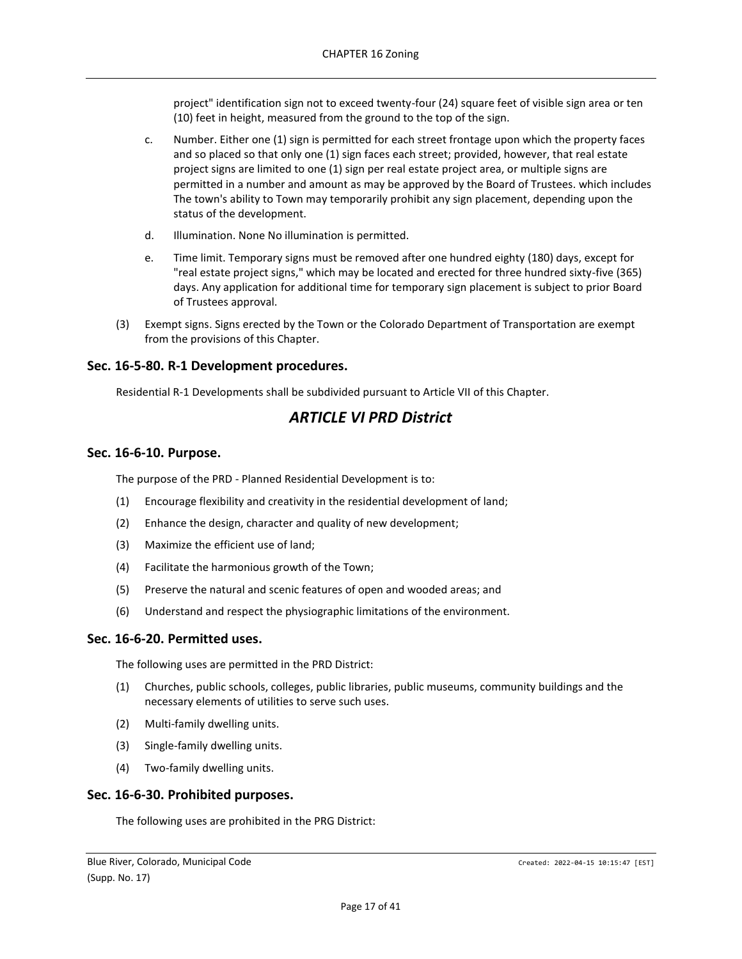project" identification sign not to exceed twenty-four (24) square feet of visible sign area or ten (10) feet in height, measured from the ground to the top of the sign.

- c. Number. Either one (1) sign is permitted for each street frontage upon which the property faces and so placed so that only one (1) sign faces each street; provided, however, that real estate project signs are limited to one (1) sign per real estate project area, or multiple signs are permitted in a number and amount as may be approved by the Board of Trustees. which includes The town's ability to Town may temporarily prohibit any sign placement, depending upon the status of the development.
- d. Illumination. None No illumination is permitted.
- e. Time limit. Temporary signs must be removed after one hundred eighty (180) days, except for "real estate project signs," which may be located and erected for three hundred sixty-five (365) days. Any application for additional time for temporary sign placement is subject to prior Board of Trustees approval.
- (3) Exempt signs. Signs erected by the Town or the Colorado Department of Transportation are exempt from the provisions of this Chapter.

## <span id="page-16-0"></span>**Sec. 16-5-80. R-1 Development procedures.**

<span id="page-16-1"></span>Residential R-1 Developments shall be subdivided pursuant to Article VII of this Chapter.

# *ARTICLE VI PRD District*

## <span id="page-16-2"></span>**Sec. 16-6-10. Purpose.**

The purpose of the PRD - Planned Residential Development is to:

- (1) Encourage flexibility and creativity in the residential development of land;
- (2) Enhance the design, character and quality of new development;
- (3) Maximize the efficient use of land;
- (4) Facilitate the harmonious growth of the Town;
- (5) Preserve the natural and scenic features of open and wooded areas; and
- (6) Understand and respect the physiographic limitations of the environment.

### <span id="page-16-3"></span>**Sec. 16-6-20. Permitted uses.**

The following uses are permitted in the PRD District:

- (1) Churches, public schools, colleges, public libraries, public museums, community buildings and the necessary elements of utilities to serve such uses.
- (2) Multi-family dwelling units.
- (3) Single-family dwelling units.
- (4) Two-family dwelling units.

## <span id="page-16-4"></span>**Sec. 16-6-30. Prohibited purposes.**

The following uses are prohibited in the PRG District: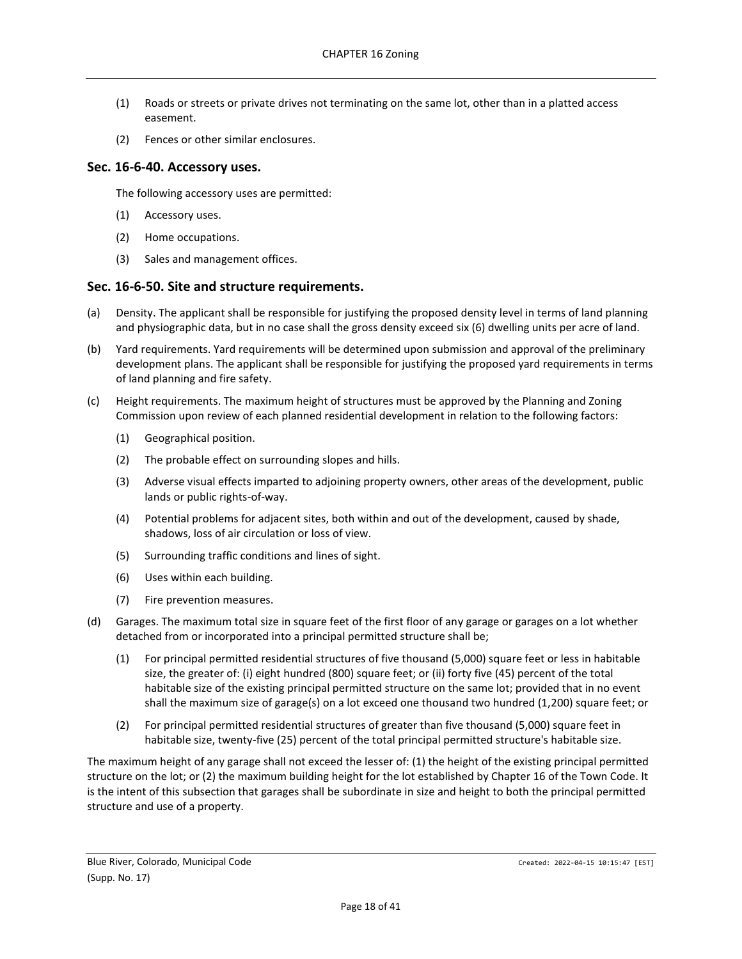- (1) Roads or streets or private drives not terminating on the same lot, other than in a platted access easement.
- (2) Fences or other similar enclosures.

## <span id="page-17-0"></span>**Sec. 16-6-40. Accessory uses.**

The following accessory uses are permitted:

- (1) Accessory uses.
- (2) Home occupations.
- (3) Sales and management offices.

## <span id="page-17-1"></span>**Sec. 16-6-50. Site and structure requirements.**

- (a) Density. The applicant shall be responsible for justifying the proposed density level in terms of land planning and physiographic data, but in no case shall the gross density exceed six (6) dwelling units per acre of land.
- (b) Yard requirements. Yard requirements will be determined upon submission and approval of the preliminary development plans. The applicant shall be responsible for justifying the proposed yard requirements in terms of land planning and fire safety.
- (c) Height requirements. The maximum height of structures must be approved by the Planning and Zoning Commission upon review of each planned residential development in relation to the following factors:
	- (1) Geographical position.
	- (2) The probable effect on surrounding slopes and hills.
	- (3) Adverse visual effects imparted to adjoining property owners, other areas of the development, public lands or public rights-of-way.
	- (4) Potential problems for adjacent sites, both within and out of the development, caused by shade, shadows, loss of air circulation or loss of view.
	- (5) Surrounding traffic conditions and lines of sight.
	- (6) Uses within each building.
	- (7) Fire prevention measures.
- (d) Garages. The maximum total size in square feet of the first floor of any garage or garages on a lot whether detached from or incorporated into a principal permitted structure shall be;
	- (1) For principal permitted residential structures of five thousand (5,000) square feet or less in habitable size, the greater of: (i) eight hundred (800) square feet; or (ii) forty five (45) percent of the total habitable size of the existing principal permitted structure on the same lot; provided that in no event shall the maximum size of garage(s) on a lot exceed one thousand two hundred (1,200) square feet; or
	- (2) For principal permitted residential structures of greater than five thousand (5,000) square feet in habitable size, twenty-five (25) percent of the total principal permitted structure's habitable size.

The maximum height of any garage shall not exceed the lesser of: (1) the height of the existing principal permitted structure on the lot; or (2) the maximum building height for the lot established by Chapter 16 of the Town Code. It is the intent of this subsection that garages shall be subordinate in size and height to both the principal permitted structure and use of a property.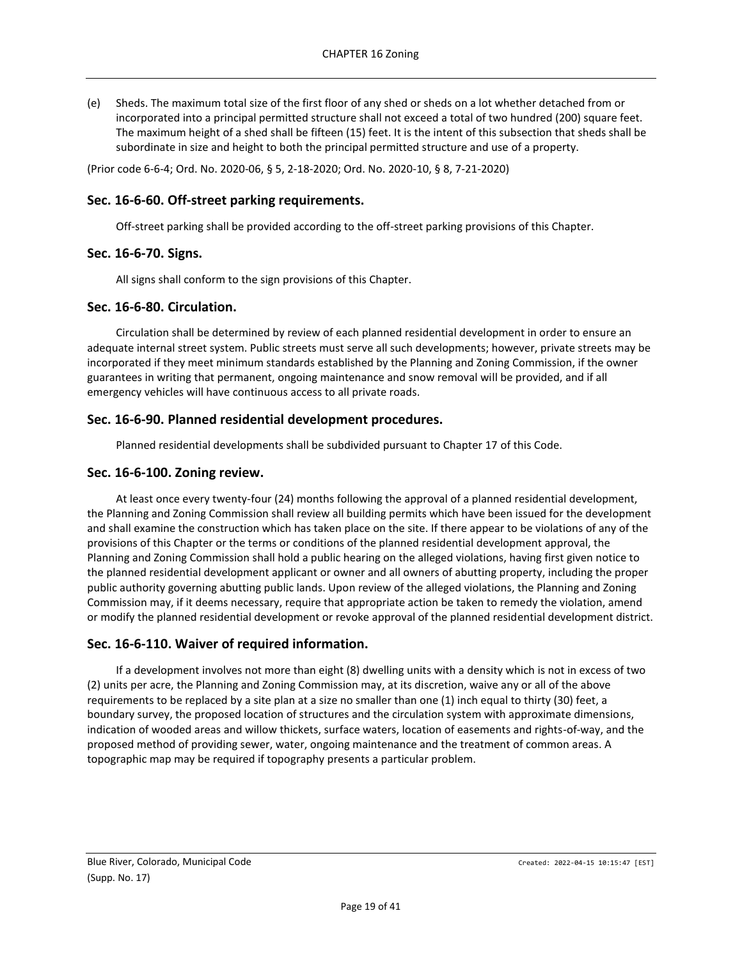(e) Sheds. The maximum total size of the first floor of any shed or sheds on a lot whether detached from or incorporated into a principal permitted structure shall not exceed a total of two hundred (200) square feet. The maximum height of a shed shall be fifteen (15) feet. It is the intent of this subsection that sheds shall be subordinate in size and height to both the principal permitted structure and use of a property.

(Prior code 6-6-4; Ord. No. 2020-06, § 5, 2-18-2020; Ord. No. 2020-10, § 8, 7-21-2020)

## <span id="page-18-0"></span>**Sec. 16-6-60. Off-street parking requirements.**

Off-street parking shall be provided according to the off-street parking provisions of this Chapter.

## <span id="page-18-1"></span>**Sec. 16-6-70. Signs.**

All signs shall conform to the sign provisions of this Chapter.

## <span id="page-18-2"></span>**Sec. 16-6-80. Circulation.**

Circulation shall be determined by review of each planned residential development in order to ensure an adequate internal street system. Public streets must serve all such developments; however, private streets may be incorporated if they meet minimum standards established by the Planning and Zoning Commission, if the owner guarantees in writing that permanent, ongoing maintenance and snow removal will be provided, and if all emergency vehicles will have continuous access to all private roads.

## <span id="page-18-3"></span>**Sec. 16-6-90. Planned residential development procedures.**

Planned residential developments shall be subdivided pursuant to Chapter 17 of this Code.

### <span id="page-18-4"></span>**Sec. 16-6-100. Zoning review.**

At least once every twenty-four (24) months following the approval of a planned residential development, the Planning and Zoning Commission shall review all building permits which have been issued for the development and shall examine the construction which has taken place on the site. If there appear to be violations of any of the provisions of this Chapter or the terms or conditions of the planned residential development approval, the Planning and Zoning Commission shall hold a public hearing on the alleged violations, having first given notice to the planned residential development applicant or owner and all owners of abutting property, including the proper public authority governing abutting public lands. Upon review of the alleged violations, the Planning and Zoning Commission may, if it deems necessary, require that appropriate action be taken to remedy the violation, amend or modify the planned residential development or revoke approval of the planned residential development district.

### <span id="page-18-5"></span>**Sec. 16-6-110. Waiver of required information.**

If a development involves not more than eight (8) dwelling units with a density which is not in excess of two (2) units per acre, the Planning and Zoning Commission may, at its discretion, waive any or all of the above requirements to be replaced by a site plan at a size no smaller than one (1) inch equal to thirty (30) feet, a boundary survey, the proposed location of structures and the circulation system with approximate dimensions, indication of wooded areas and willow thickets, surface waters, location of easements and rights-of-way, and the proposed method of providing sewer, water, ongoing maintenance and the treatment of common areas. A topographic map may be required if topography presents a particular problem.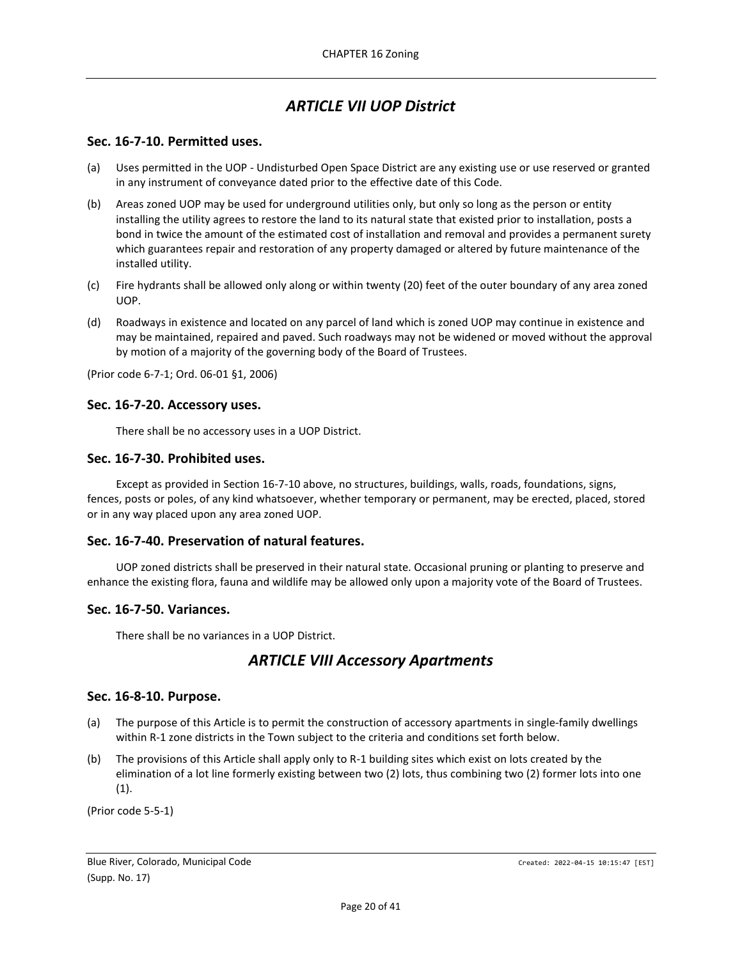# *ARTICLE VII UOP District*

## <span id="page-19-1"></span><span id="page-19-0"></span>**Sec. 16-7-10. Permitted uses.**

- (a) Uses permitted in the UOP Undisturbed Open Space District are any existing use or use reserved or granted in any instrument of conveyance dated prior to the effective date of this Code.
- (b) Areas zoned UOP may be used for underground utilities only, but only so long as the person or entity installing the utility agrees to restore the land to its natural state that existed prior to installation, posts a bond in twice the amount of the estimated cost of installation and removal and provides a permanent surety which guarantees repair and restoration of any property damaged or altered by future maintenance of the installed utility.
- (c) Fire hydrants shall be allowed only along or within twenty (20) feet of the outer boundary of any area zoned UOP.
- (d) Roadways in existence and located on any parcel of land which is zoned UOP may continue in existence and may be maintained, repaired and paved. Such roadways may not be widened or moved without the approval by motion of a majority of the governing body of the Board of Trustees.

(Prior code 6-7-1; Ord. 06-01 §1, 2006)

### <span id="page-19-2"></span>**Sec. 16-7-20. Accessory uses.**

There shall be no accessory uses in a UOP District.

#### <span id="page-19-3"></span>**Sec. 16-7-30. Prohibited uses.**

Except as provided in Section 16-7-10 above, no structures, buildings, walls, roads, foundations, signs, fences, posts or poles, of any kind whatsoever, whether temporary or permanent, may be erected, placed, stored or in any way placed upon any area zoned UOP.

#### <span id="page-19-4"></span>**Sec. 16-7-40. Preservation of natural features.**

UOP zoned districts shall be preserved in their natural state. Occasional pruning or planting to preserve and enhance the existing flora, fauna and wildlife may be allowed only upon a majority vote of the Board of Trustees.

### <span id="page-19-5"></span>**Sec. 16-7-50. Variances.**

<span id="page-19-6"></span>There shall be no variances in a UOP District.

## *ARTICLE VIII Accessory Apartments*

### <span id="page-19-7"></span>**Sec. 16-8-10. Purpose.**

- (a) The purpose of this Article is to permit the construction of accessory apartments in single-family dwellings within R-1 zone districts in the Town subject to the criteria and conditions set forth below.
- (b) The provisions of this Article shall apply only to R-1 building sites which exist on lots created by the elimination of a lot line formerly existing between two (2) lots, thus combining two (2) former lots into one (1).

(Prior code 5-5-1)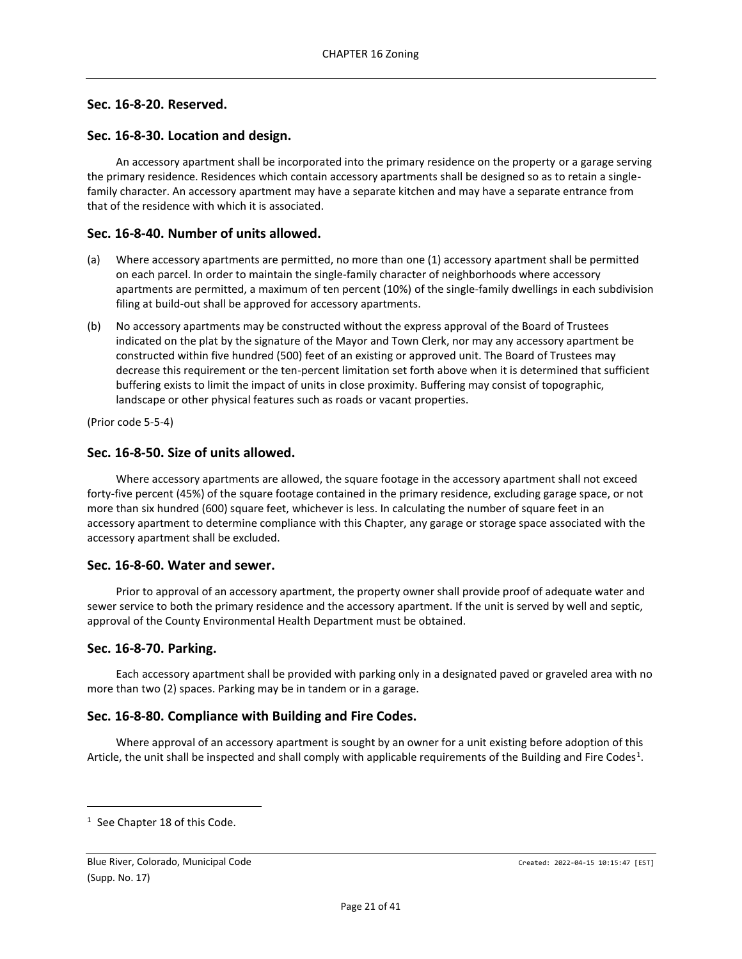## <span id="page-20-0"></span>**Sec. 16-8-20. Reserved.**

## <span id="page-20-1"></span>**Sec. 16-8-30. Location and design.**

An accessory apartment shall be incorporated into the primary residence on the property or a garage serving the primary residence. Residences which contain accessory apartments shall be designed so as to retain a singlefamily character. An accessory apartment may have a separate kitchen and may have a separate entrance from that of the residence with which it is associated.

## <span id="page-20-2"></span>**Sec. 16-8-40. Number of units allowed.**

- (a) Where accessory apartments are permitted, no more than one (1) accessory apartment shall be permitted on each parcel. In order to maintain the single-family character of neighborhoods where accessory apartments are permitted, a maximum of ten percent (10%) of the single-family dwellings in each subdivision filing at build-out shall be approved for accessory apartments.
- (b) No accessory apartments may be constructed without the express approval of the Board of Trustees indicated on the plat by the signature of the Mayor and Town Clerk, nor may any accessory apartment be constructed within five hundred (500) feet of an existing or approved unit. The Board of Trustees may decrease this requirement or the ten-percent limitation set forth above when it is determined that sufficient buffering exists to limit the impact of units in close proximity. Buffering may consist of topographic, landscape or other physical features such as roads or vacant properties.

(Prior code 5-5-4)

## <span id="page-20-3"></span>**Sec. 16-8-50. Size of units allowed.**

Where accessory apartments are allowed, the square footage in the accessory apartment shall not exceed forty-five percent (45%) of the square footage contained in the primary residence, excluding garage space, or not more than six hundred (600) square feet, whichever is less. In calculating the number of square feet in an accessory apartment to determine compliance with this Chapter, any garage or storage space associated with the accessory apartment shall be excluded.

### <span id="page-20-4"></span>**Sec. 16-8-60. Water and sewer.**

Prior to approval of an accessory apartment, the property owner shall provide proof of adequate water and sewer service to both the primary residence and the accessory apartment. If the unit is served by well and septic, approval of the County Environmental Health Department must be obtained.

### <span id="page-20-5"></span>**Sec. 16-8-70. Parking.**

Each accessory apartment shall be provided with parking only in a designated paved or graveled area with no more than two (2) spaces. Parking may be in tandem or in a garage.

### <span id="page-20-6"></span>**Sec. 16-8-80. Compliance with Building and Fire Codes.**

Where approval of an accessory apartment is sought by an owner for a unit existing before adoption of this Article, the unit shall be inspected and shall comply with applicable requirements of the Building and Fire Codes<sup>1</sup>.

<sup>&</sup>lt;sup>1</sup> See Chapter 18 of this Code.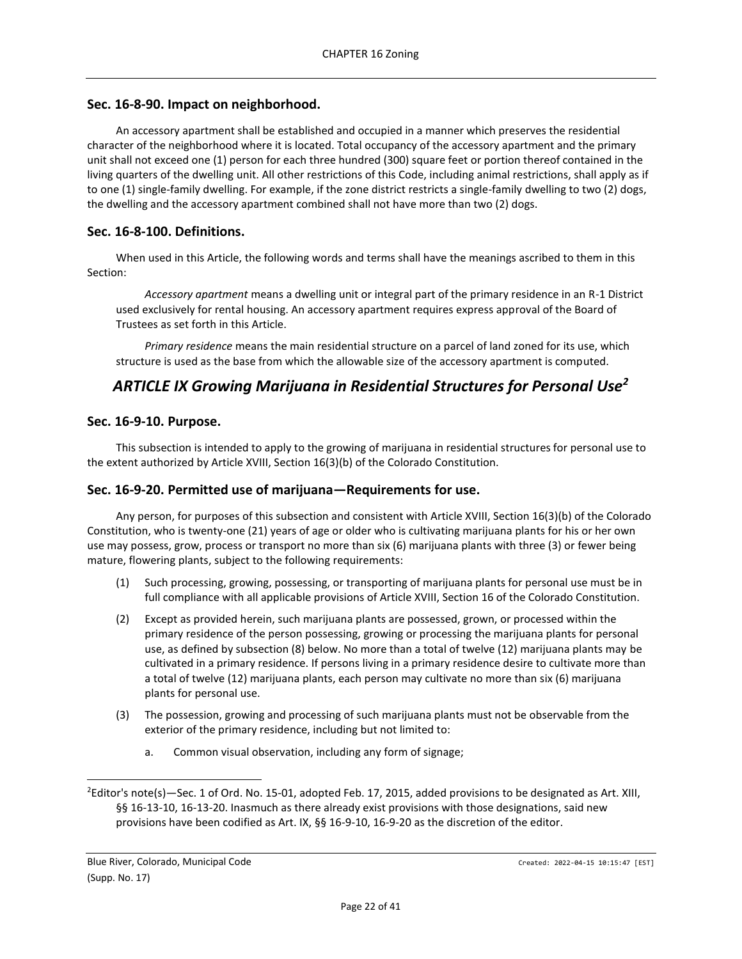## <span id="page-21-0"></span>**Sec. 16-8-90. Impact on neighborhood.**

An accessory apartment shall be established and occupied in a manner which preserves the residential character of the neighborhood where it is located. Total occupancy of the accessory apartment and the primary unit shall not exceed one (1) person for each three hundred (300) square feet or portion thereof contained in the living quarters of the dwelling unit. All other restrictions of this Code, including animal restrictions, shall apply as if to one (1) single-family dwelling. For example, if the zone district restricts a single-family dwelling to two (2) dogs, the dwelling and the accessory apartment combined shall not have more than two (2) dogs.

## <span id="page-21-1"></span>**Sec. 16-8-100. Definitions.**

When used in this Article, the following words and terms shall have the meanings ascribed to them in this Section:

*Accessory apartment* means a dwelling unit or integral part of the primary residence in an R-1 District used exclusively for rental housing. An accessory apartment requires express approval of the Board of Trustees as set forth in this Article.

*Primary residence* means the main residential structure on a parcel of land zoned for its use, which structure is used as the base from which the allowable size of the accessory apartment is computed.

# <span id="page-21-2"></span>*ARTICLE IX Growing Marijuana in Residential Structures for Personal Use<sup>2</sup>*

## <span id="page-21-3"></span>**Sec. 16-9-10. Purpose.**

This subsection is intended to apply to the growing of marijuana in residential structures for personal use to the extent authorized by Article XVIII, Section 16(3)(b) of the Colorado Constitution.

## <span id="page-21-4"></span>**Sec. 16-9-20. Permitted use of marijuana—Requirements for use.**

Any person, for purposes of this subsection and consistent with Article XVIII, Section 16(3)(b) of the Colorado Constitution, who is twenty-one (21) years of age or older who is cultivating marijuana plants for his or her own use may possess, grow, process or transport no more than six (6) marijuana plants with three (3) or fewer being mature, flowering plants, subject to the following requirements:

- (1) Such processing, growing, possessing, or transporting of marijuana plants for personal use must be in full compliance with all applicable provisions of Article XVIII, Section 16 of the Colorado Constitution.
- (2) Except as provided herein, such marijuana plants are possessed, grown, or processed within the primary residence of the person possessing, growing or processing the marijuana plants for personal use, as defined by subsection (8) below. No more than a total of twelve (12) marijuana plants may be cultivated in a primary residence. If persons living in a primary residence desire to cultivate more than a total of twelve (12) marijuana plants, each person may cultivate no more than six (6) marijuana plants for personal use.
- (3) The possession, growing and processing of such marijuana plants must not be observable from the exterior of the primary residence, including but not limited to:
	- a. Common visual observation, including any form of signage;

 ${}^{2}$ Editor's note(s) -Sec. 1 of Ord. No. 15-01, adopted Feb. 17, 2015, added provisions to be designated as Art. XIII, §§ 16-13-10, 16-13-20. Inasmuch as there already exist provisions with those designations, said new provisions have been codified as Art. IX, §§ 16-9-10, 16-9-20 as the discretion of the editor.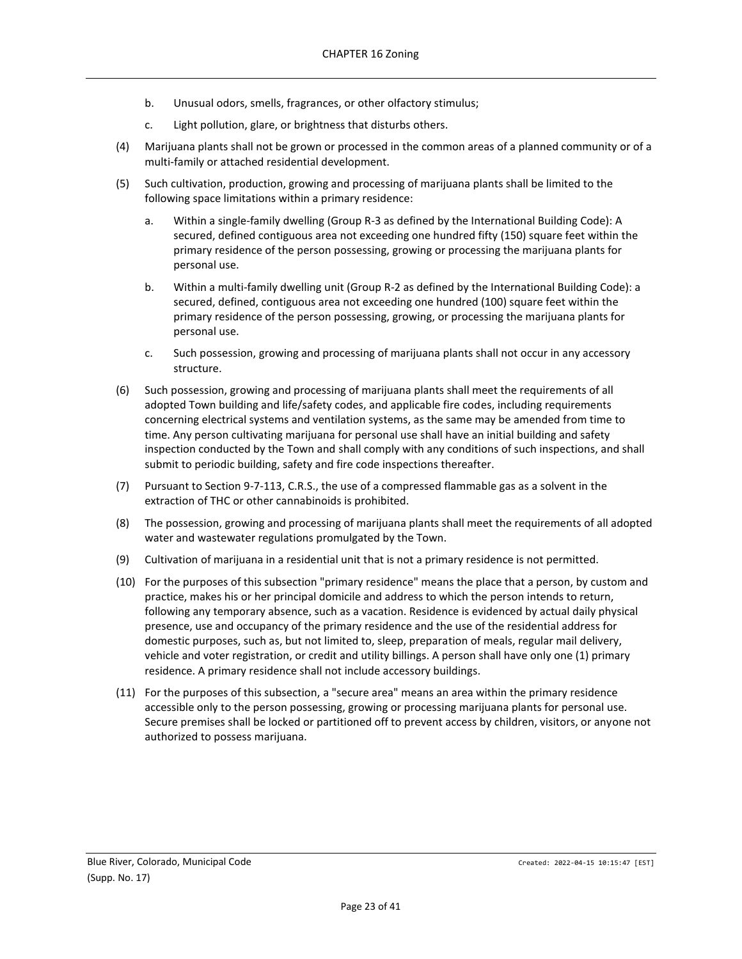- b. Unusual odors, smells, fragrances, or other olfactory stimulus;
- c. Light pollution, glare, or brightness that disturbs others.
- (4) Marijuana plants shall not be grown or processed in the common areas of a planned community or of a multi-family or attached residential development.
- (5) Such cultivation, production, growing and processing of marijuana plants shall be limited to the following space limitations within a primary residence:
	- a. Within a single-family dwelling (Group R-3 as defined by the International Building Code): A secured, defined contiguous area not exceeding one hundred fifty (150) square feet within the primary residence of the person possessing, growing or processing the marijuana plants for personal use.
	- b. Within a multi-family dwelling unit (Group R-2 as defined by the International Building Code): a secured, defined, contiguous area not exceeding one hundred (100) square feet within the primary residence of the person possessing, growing, or processing the marijuana plants for personal use.
	- c. Such possession, growing and processing of marijuana plants shall not occur in any accessory structure.
- (6) Such possession, growing and processing of marijuana plants shall meet the requirements of all adopted Town building and life/safety codes, and applicable fire codes, including requirements concerning electrical systems and ventilation systems, as the same may be amended from time to time. Any person cultivating marijuana for personal use shall have an initial building and safety inspection conducted by the Town and shall comply with any conditions of such inspections, and shall submit to periodic building, safety and fire code inspections thereafter.
- (7) Pursuant to Section 9-7-113, C.R.S., the use of a compressed flammable gas as a solvent in the extraction of THC or other cannabinoids is prohibited.
- (8) The possession, growing and processing of marijuana plants shall meet the requirements of all adopted water and wastewater regulations promulgated by the Town.
- (9) Cultivation of marijuana in a residential unit that is not a primary residence is not permitted.
- (10) For the purposes of this subsection "primary residence" means the place that a person, by custom and practice, makes his or her principal domicile and address to which the person intends to return, following any temporary absence, such as a vacation. Residence is evidenced by actual daily physical presence, use and occupancy of the primary residence and the use of the residential address for domestic purposes, such as, but not limited to, sleep, preparation of meals, regular mail delivery, vehicle and voter registration, or credit and utility billings. A person shall have only one (1) primary residence. A primary residence shall not include accessory buildings.
- (11) For the purposes of this subsection, a "secure area" means an area within the primary residence accessible only to the person possessing, growing or processing marijuana plants for personal use. Secure premises shall be locked or partitioned off to prevent access by children, visitors, or anyone not authorized to possess marijuana.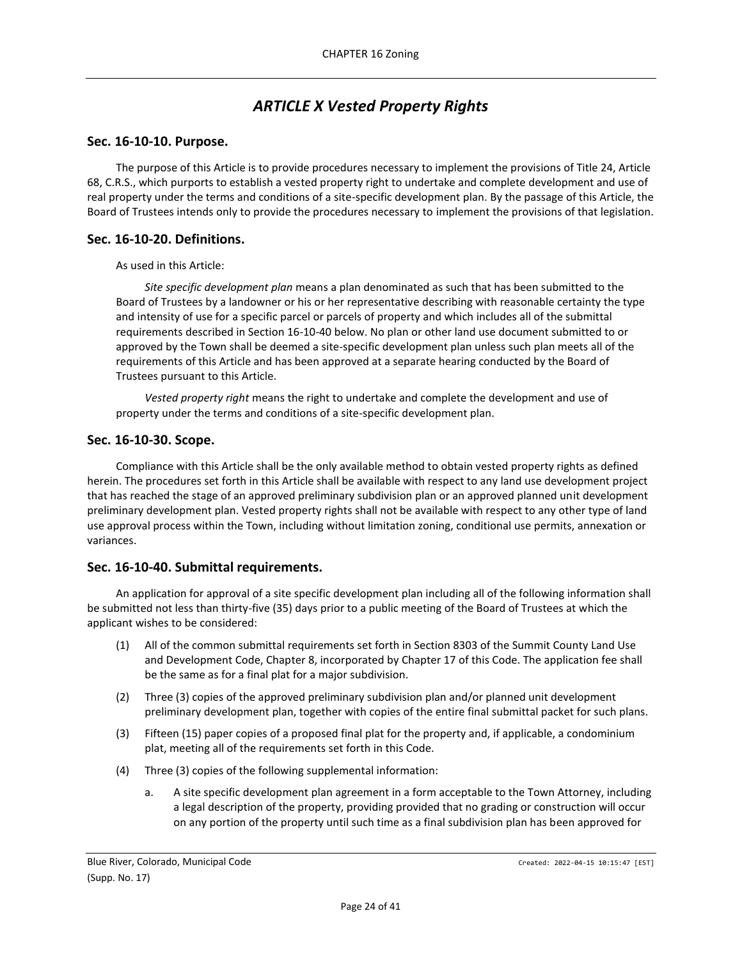# *ARTICLE X Vested Property Rights*

### <span id="page-23-1"></span><span id="page-23-0"></span>**Sec. 16-10-10. Purpose.**

The purpose of this Article is to provide procedures necessary to implement the provisions of Title 24, Article 68, C.R.S., which purports to establish a vested property right to undertake and complete development and use of real property under the terms and conditions of a site-specific development plan. By the passage of this Article, the Board of Trustees intends only to provide the procedures necessary to implement the provisions of that legislation.

## <span id="page-23-2"></span>**Sec. 16-10-20. Definitions.**

As used in this Article:

*Site specific development plan* means a plan denominated as such that has been submitted to the Board of Trustees by a landowner or his or her representative describing with reasonable certainty the type and intensity of use for a specific parcel or parcels of property and which includes all of the submittal requirements described in Section 16-10-40 below. No plan or other land use document submitted to or approved by the Town shall be deemed a site-specific development plan unless such plan meets all of the requirements of this Article and has been approved at a separate hearing conducted by the Board of Trustees pursuant to this Article.

*Vested property right* means the right to undertake and complete the development and use of property under the terms and conditions of a site-specific development plan.

### <span id="page-23-3"></span>**Sec. 16-10-30. Scope.**

Compliance with this Article shall be the only available method to obtain vested property rights as defined herein. The procedures set forth in this Article shall be available with respect to any land use development project that has reached the stage of an approved preliminary subdivision plan or an approved planned unit development preliminary development plan. Vested property rights shall not be available with respect to any other type of land use approval process within the Town, including without limitation zoning, conditional use permits, annexation or variances.

### <span id="page-23-4"></span>**Sec. 16-10-40. Submittal requirements.**

An application for approval of a site specific development plan including all of the following information shall be submitted not less than thirty-five (35) days prior to a public meeting of the Board of Trustees at which the applicant wishes to be considered:

- (1) All of the common submittal requirements set forth in Section 8303 of the Summit County Land Use and Development Code, Chapter 8, incorporated by Chapter 17 of this Code. The application fee shall be the same as for a final plat for a major subdivision.
- (2) Three (3) copies of the approved preliminary subdivision plan and/or planned unit development preliminary development plan, together with copies of the entire final submittal packet for such plans.
- (3) Fifteen (15) paper copies of a proposed final plat for the property and, if applicable, a condominium plat, meeting all of the requirements set forth in this Code.
- (4) Three (3) copies of the following supplemental information:
	- a. A site specific development plan agreement in a form acceptable to the Town Attorney, including a legal description of the property, providing provided that no grading or construction will occur on any portion of the property until such time as a final subdivision plan has been approved for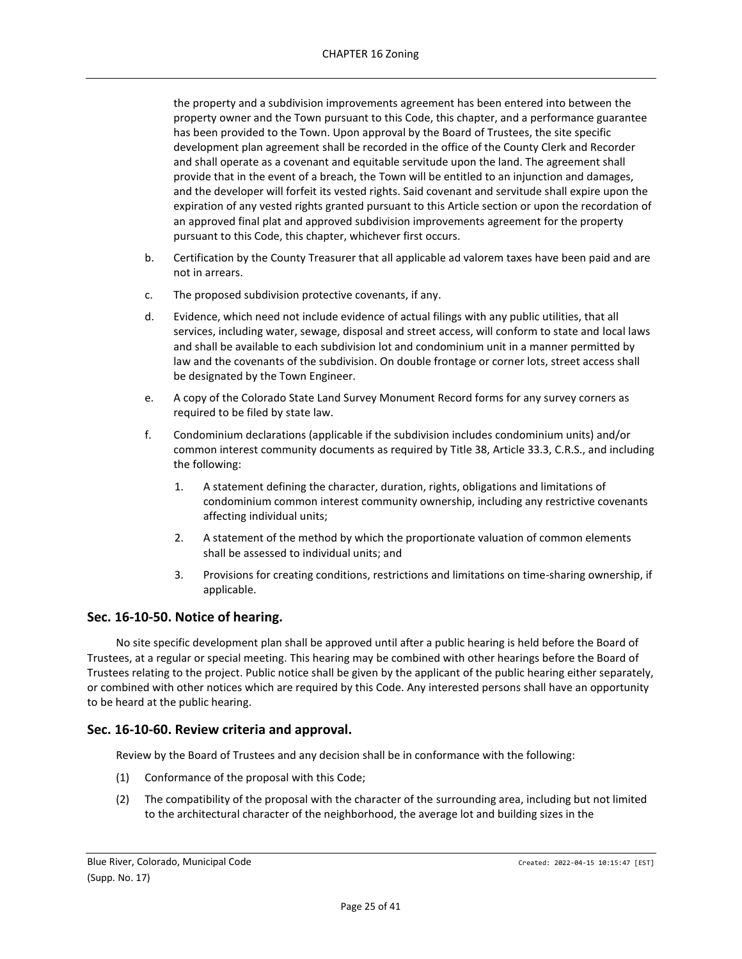the property and a subdivision improvements agreement has been entered into between the property owner and the Town pursuant to this Code, this chapter, and a performance guarantee has been provided to the Town. Upon approval by the Board of Trustees, the site specific development plan agreement shall be recorded in the office of the County Clerk and Recorder and shall operate as a covenant and equitable servitude upon the land. The agreement shall provide that in the event of a breach, the Town will be entitled to an injunction and damages, and the developer will forfeit its vested rights. Said covenant and servitude shall expire upon the expiration of any vested rights granted pursuant to this Article section or upon the recordation of an approved final plat and approved subdivision improvements agreement for the property pursuant to this Code, this chapter, whichever first occurs.

- b. Certification by the County Treasurer that all applicable ad valorem taxes have been paid and are not in arrears.
- c. The proposed subdivision protective covenants, if any.
- d. Evidence, which need not include evidence of actual filings with any public utilities, that all services, including water, sewage, disposal and street access, will conform to state and local laws and shall be available to each subdivision lot and condominium unit in a manner permitted by law and the covenants of the subdivision. On double frontage or corner lots, street access shall be designated by the Town Engineer.
- e. A copy of the Colorado State Land Survey Monument Record forms for any survey corners as required to be filed by state law.
- f. Condominium declarations (applicable if the subdivision includes condominium units) and/or common interest community documents as required by Title 38, Article 33.3, C.R.S., and including the following:
	- 1. A statement defining the character, duration, rights, obligations and limitations of condominium common interest community ownership, including any restrictive covenants affecting individual units;
	- 2. A statement of the method by which the proportionate valuation of common elements shall be assessed to individual units; and
	- 3. Provisions for creating conditions, restrictions and limitations on time-sharing ownership, if applicable.

## <span id="page-24-0"></span>**Sec. 16-10-50. Notice of hearing.**

No site specific development plan shall be approved until after a public hearing is held before the Board of Trustees, at a regular or special meeting. This hearing may be combined with other hearings before the Board of Trustees relating to the project. Public notice shall be given by the applicant of the public hearing either separately, or combined with other notices which are required by this Code. Any interested persons shall have an opportunity to be heard at the public hearing.

## <span id="page-24-1"></span>**Sec. 16-10-60. Review criteria and approval.**

Review by the Board of Trustees and any decision shall be in conformance with the following:

- (1) Conformance of the proposal with this Code;
- (2) The compatibility of the proposal with the character of the surrounding area, including but not limited to the architectural character of the neighborhood, the average lot and building sizes in the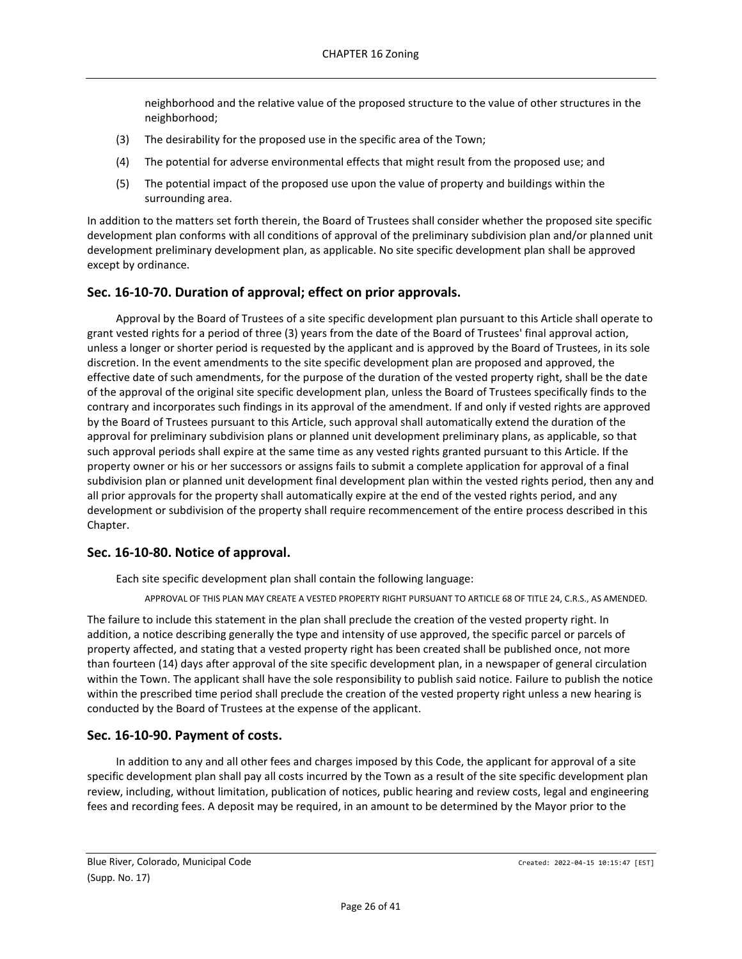neighborhood and the relative value of the proposed structure to the value of other structures in the neighborhood;

- (3) The desirability for the proposed use in the specific area of the Town;
- (4) The potential for adverse environmental effects that might result from the proposed use; and
- (5) The potential impact of the proposed use upon the value of property and buildings within the surrounding area.

In addition to the matters set forth therein, the Board of Trustees shall consider whether the proposed site specific development plan conforms with all conditions of approval of the preliminary subdivision plan and/or planned unit development preliminary development plan, as applicable. No site specific development plan shall be approved except by ordinance.

## <span id="page-25-0"></span>**Sec. 16-10-70. Duration of approval; effect on prior approvals.**

Approval by the Board of Trustees of a site specific development plan pursuant to this Article shall operate to grant vested rights for a period of three (3) years from the date of the Board of Trustees' final approval action, unless a longer or shorter period is requested by the applicant and is approved by the Board of Trustees, in its sole discretion. In the event amendments to the site specific development plan are proposed and approved, the effective date of such amendments, for the purpose of the duration of the vested property right, shall be the date of the approval of the original site specific development plan, unless the Board of Trustees specifically finds to the contrary and incorporates such findings in its approval of the amendment. If and only if vested rights are approved by the Board of Trustees pursuant to this Article, such approval shall automatically extend the duration of the approval for preliminary subdivision plans or planned unit development preliminary plans, as applicable, so that such approval periods shall expire at the same time as any vested rights granted pursuant to this Article. If the property owner or his or her successors or assigns fails to submit a complete application for approval of a final subdivision plan or planned unit development final development plan within the vested rights period, then any and all prior approvals for the property shall automatically expire at the end of the vested rights period, and any development or subdivision of the property shall require recommencement of the entire process described in this Chapter.

## <span id="page-25-1"></span>**Sec. 16-10-80. Notice of approval.**

Each site specific development plan shall contain the following language:

APPROVAL OF THIS PLAN MAY CREATE A VESTED PROPERTY RIGHT PURSUANT TO ARTICLE 68 OF TITLE 24, C.R.S., AS AMENDED.

The failure to include this statement in the plan shall preclude the creation of the vested property right. In addition, a notice describing generally the type and intensity of use approved, the specific parcel or parcels of property affected, and stating that a vested property right has been created shall be published once, not more than fourteen (14) days after approval of the site specific development plan, in a newspaper of general circulation within the Town. The applicant shall have the sole responsibility to publish said notice. Failure to publish the notice within the prescribed time period shall preclude the creation of the vested property right unless a new hearing is conducted by the Board of Trustees at the expense of the applicant.

## <span id="page-25-2"></span>**Sec. 16-10-90. Payment of costs.**

In addition to any and all other fees and charges imposed by this Code, the applicant for approval of a site specific development plan shall pay all costs incurred by the Town as a result of the site specific development plan review, including, without limitation, publication of notices, public hearing and review costs, legal and engineering fees and recording fees. A deposit may be required, in an amount to be determined by the Mayor prior to the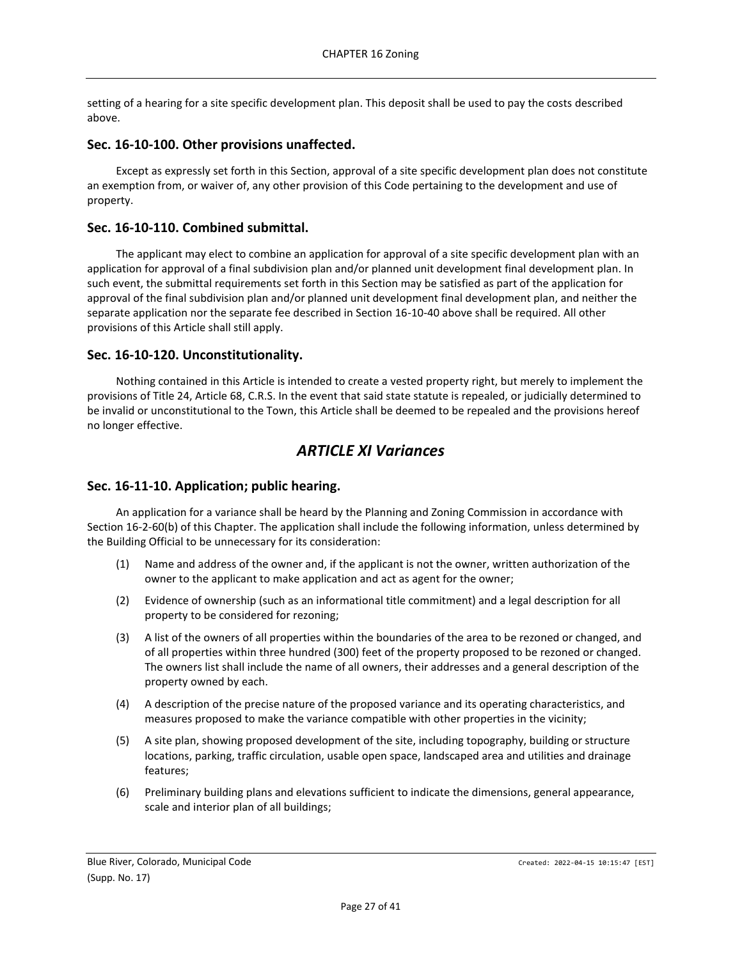setting of a hearing for a site specific development plan. This deposit shall be used to pay the costs described above.

### <span id="page-26-0"></span>**Sec. 16-10-100. Other provisions unaffected.**

Except as expressly set forth in this Section, approval of a site specific development plan does not constitute an exemption from, or waiver of, any other provision of this Code pertaining to the development and use of property.

## <span id="page-26-1"></span>**Sec. 16-10-110. Combined submittal.**

The applicant may elect to combine an application for approval of a site specific development plan with an application for approval of a final subdivision plan and/or planned unit development final development plan. In such event, the submittal requirements set forth in this Section may be satisfied as part of the application for approval of the final subdivision plan and/or planned unit development final development plan, and neither the separate application nor the separate fee described in Section 16-10-40 above shall be required. All other provisions of this Article shall still apply.

### <span id="page-26-2"></span>**Sec. 16-10-120. Unconstitutionality.**

Nothing contained in this Article is intended to create a vested property right, but merely to implement the provisions of Title 24, Article 68, C.R.S. In the event that said state statute is repealed, or judicially determined to be invalid or unconstitutional to the Town, this Article shall be deemed to be repealed and the provisions hereof no longer effective.

## *ARTICLE XI Variances*

## <span id="page-26-4"></span><span id="page-26-3"></span>**Sec. 16-11-10. Application; public hearing.**

An application for a variance shall be heard by the Planning and Zoning Commission in accordance with Section 16-2-60(b) of this Chapter. The application shall include the following information, unless determined by the Building Official to be unnecessary for its consideration:

- (1) Name and address of the owner and, if the applicant is not the owner, written authorization of the owner to the applicant to make application and act as agent for the owner;
- (2) Evidence of ownership (such as an informational title commitment) and a legal description for all property to be considered for rezoning;
- (3) A list of the owners of all properties within the boundaries of the area to be rezoned or changed, and of all properties within three hundred (300) feet of the property proposed to be rezoned or changed. The owners list shall include the name of all owners, their addresses and a general description of the property owned by each.
- (4) A description of the precise nature of the proposed variance and its operating characteristics, and measures proposed to make the variance compatible with other properties in the vicinity;
- (5) A site plan, showing proposed development of the site, including topography, building or structure locations, parking, traffic circulation, usable open space, landscaped area and utilities and drainage features;
- (6) Preliminary building plans and elevations sufficient to indicate the dimensions, general appearance, scale and interior plan of all buildings;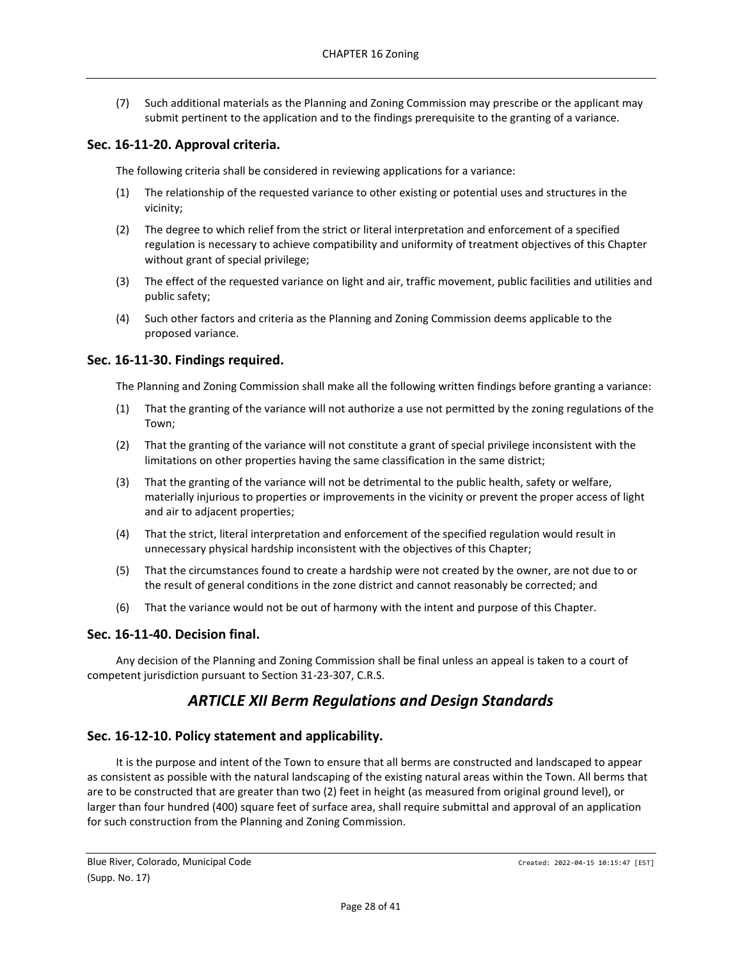(7) Such additional materials as the Planning and Zoning Commission may prescribe or the applicant may submit pertinent to the application and to the findings prerequisite to the granting of a variance.

## <span id="page-27-0"></span>**Sec. 16-11-20. Approval criteria.**

The following criteria shall be considered in reviewing applications for a variance:

- (1) The relationship of the requested variance to other existing or potential uses and structures in the vicinity;
- (2) The degree to which relief from the strict or literal interpretation and enforcement of a specified regulation is necessary to achieve compatibility and uniformity of treatment objectives of this Chapter without grant of special privilege;
- (3) The effect of the requested variance on light and air, traffic movement, public facilities and utilities and public safety;
- (4) Such other factors and criteria as the Planning and Zoning Commission deems applicable to the proposed variance.

## <span id="page-27-1"></span>**Sec. 16-11-30. Findings required.**

The Planning and Zoning Commission shall make all the following written findings before granting a variance:

- (1) That the granting of the variance will not authorize a use not permitted by the zoning regulations of the Town;
- (2) That the granting of the variance will not constitute a grant of special privilege inconsistent with the limitations on other properties having the same classification in the same district;
- (3) That the granting of the variance will not be detrimental to the public health, safety or welfare, materially injurious to properties or improvements in the vicinity or prevent the proper access of light and air to adjacent properties;
- (4) That the strict, literal interpretation and enforcement of the specified regulation would result in unnecessary physical hardship inconsistent with the objectives of this Chapter;
- (5) That the circumstances found to create a hardship were not created by the owner, are not due to or the result of general conditions in the zone district and cannot reasonably be corrected; and
- (6) That the variance would not be out of harmony with the intent and purpose of this Chapter.

### <span id="page-27-2"></span>**Sec. 16-11-40. Decision final.**

<span id="page-27-3"></span>Any decision of the Planning and Zoning Commission shall be final unless an appeal is taken to a court of competent jurisdiction pursuant to Section 31-23-307, C.R.S.

# *ARTICLE XII Berm Regulations and Design Standards*

## <span id="page-27-4"></span>**Sec. 16-12-10. Policy statement and applicability.**

It is the purpose and intent of the Town to ensure that all berms are constructed and landscaped to appear as consistent as possible with the natural landscaping of the existing natural areas within the Town. All berms that are to be constructed that are greater than two (2) feet in height (as measured from original ground level), or larger than four hundred (400) square feet of surface area, shall require submittal and approval of an application for such construction from the Planning and Zoning Commission.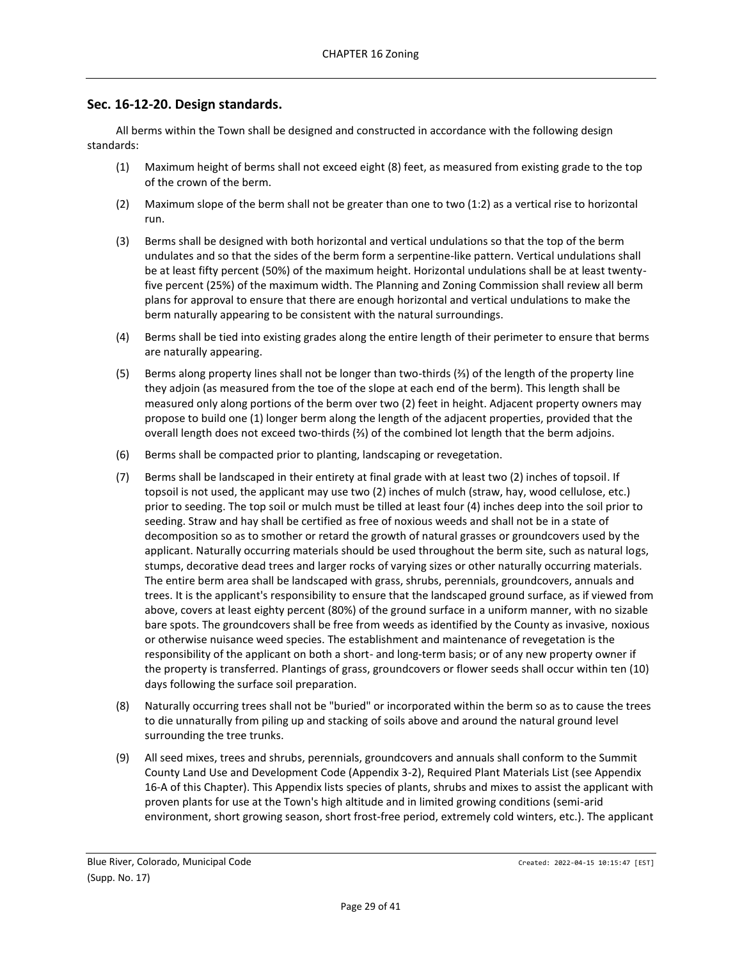## <span id="page-28-0"></span>**Sec. 16-12-20. Design standards.**

All berms within the Town shall be designed and constructed in accordance with the following design standards:

- (1) Maximum height of berms shall not exceed eight (8) feet, as measured from existing grade to the top of the crown of the berm.
- (2) Maximum slope of the berm shall not be greater than one to two (1:2) as a vertical rise to horizontal run.
- (3) Berms shall be designed with both horizontal and vertical undulations so that the top of the berm undulates and so that the sides of the berm form a serpentine-like pattern. Vertical undulations shall be at least fifty percent (50%) of the maximum height. Horizontal undulations shall be at least twentyfive percent (25%) of the maximum width. The Planning and Zoning Commission shall review all berm plans for approval to ensure that there are enough horizontal and vertical undulations to make the berm naturally appearing to be consistent with the natural surroundings.
- (4) Berms shall be tied into existing grades along the entire length of their perimeter to ensure that berms are naturally appearing.
- (5) Berms along property lines shall not be longer than two-thirds (⅔) of the length of the property line they adjoin (as measured from the toe of the slope at each end of the berm). This length shall be measured only along portions of the berm over two (2) feet in height. Adjacent property owners may propose to build one (1) longer berm along the length of the adjacent properties, provided that the overall length does not exceed two-thirds (⅔) of the combined lot length that the berm adjoins.
- (6) Berms shall be compacted prior to planting, landscaping or revegetation.
- (7) Berms shall be landscaped in their entirety at final grade with at least two (2) inches of topsoil. If topsoil is not used, the applicant may use two (2) inches of mulch (straw, hay, wood cellulose, etc.) prior to seeding. The top soil or mulch must be tilled at least four (4) inches deep into the soil prior to seeding. Straw and hay shall be certified as free of noxious weeds and shall not be in a state of decomposition so as to smother or retard the growth of natural grasses or groundcovers used by the applicant. Naturally occurring materials should be used throughout the berm site, such as natural logs, stumps, decorative dead trees and larger rocks of varying sizes or other naturally occurring materials. The entire berm area shall be landscaped with grass, shrubs, perennials, groundcovers, annuals and trees. It is the applicant's responsibility to ensure that the landscaped ground surface, as if viewed from above, covers at least eighty percent (80%) of the ground surface in a uniform manner, with no sizable bare spots. The groundcovers shall be free from weeds as identified by the County as invasive, noxious or otherwise nuisance weed species. The establishment and maintenance of revegetation is the responsibility of the applicant on both a short- and long-term basis; or of any new property owner if the property is transferred. Plantings of grass, groundcovers or flower seeds shall occur within ten (10) days following the surface soil preparation.
- (8) Naturally occurring trees shall not be "buried" or incorporated within the berm so as to cause the trees to die unnaturally from piling up and stacking of soils above and around the natural ground level surrounding the tree trunks.
- (9) All seed mixes, trees and shrubs, perennials, groundcovers and annuals shall conform to the Summit County Land Use and Development Code (Appendix 3-2), Required Plant Materials List (see Appendix 16-A of this Chapter). This Appendix lists species of plants, shrubs and mixes to assist the applicant with proven plants for use at the Town's high altitude and in limited growing conditions (semi-arid environment, short growing season, short frost-free period, extremely cold winters, etc.). The applicant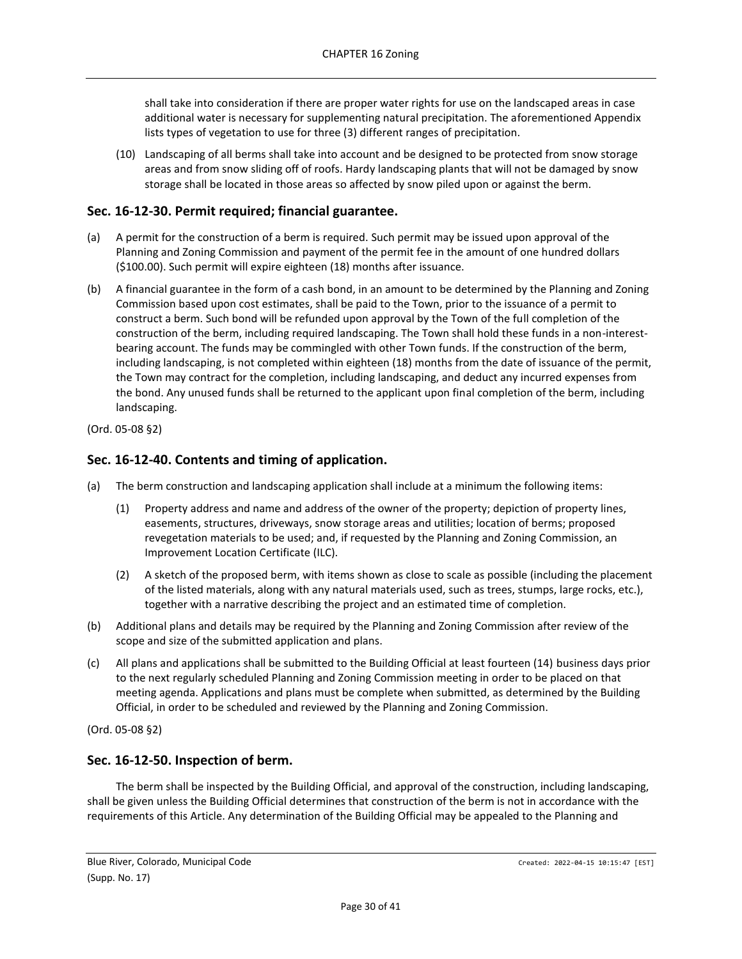shall take into consideration if there are proper water rights for use on the landscaped areas in case additional water is necessary for supplementing natural precipitation. The aforementioned Appendix lists types of vegetation to use for three (3) different ranges of precipitation.

(10) Landscaping of all berms shall take into account and be designed to be protected from snow storage areas and from snow sliding off of roofs. Hardy landscaping plants that will not be damaged by snow storage shall be located in those areas so affected by snow piled upon or against the berm.

## <span id="page-29-0"></span>**Sec. 16-12-30. Permit required; financial guarantee.**

- (a) A permit for the construction of a berm is required. Such permit may be issued upon approval of the Planning and Zoning Commission and payment of the permit fee in the amount of one hundred dollars (\$100.00). Such permit will expire eighteen (18) months after issuance.
- (b) A financial guarantee in the form of a cash bond, in an amount to be determined by the Planning and Zoning Commission based upon cost estimates, shall be paid to the Town, prior to the issuance of a permit to construct a berm. Such bond will be refunded upon approval by the Town of the full completion of the construction of the berm, including required landscaping. The Town shall hold these funds in a non-interestbearing account. The funds may be commingled with other Town funds. If the construction of the berm, including landscaping, is not completed within eighteen (18) months from the date of issuance of the permit, the Town may contract for the completion, including landscaping, and deduct any incurred expenses from the bond. Any unused funds shall be returned to the applicant upon final completion of the berm, including landscaping.

(Ord. 05-08 §2)

## <span id="page-29-1"></span>**Sec. 16-12-40. Contents and timing of application.**

- (a) The berm construction and landscaping application shall include at a minimum the following items:
	- (1) Property address and name and address of the owner of the property; depiction of property lines, easements, structures, driveways, snow storage areas and utilities; location of berms; proposed revegetation materials to be used; and, if requested by the Planning and Zoning Commission, an Improvement Location Certificate (ILC).
	- (2) A sketch of the proposed berm, with items shown as close to scale as possible (including the placement of the listed materials, along with any natural materials used, such as trees, stumps, large rocks, etc.), together with a narrative describing the project and an estimated time of completion.
- (b) Additional plans and details may be required by the Planning and Zoning Commission after review of the scope and size of the submitted application and plans.
- (c) All plans and applications shall be submitted to the Building Official at least fourteen (14) business days prior to the next regularly scheduled Planning and Zoning Commission meeting in order to be placed on that meeting agenda. Applications and plans must be complete when submitted, as determined by the Building Official, in order to be scheduled and reviewed by the Planning and Zoning Commission.

(Ord. 05-08 §2)

## <span id="page-29-2"></span>**Sec. 16-12-50. Inspection of berm.**

The berm shall be inspected by the Building Official, and approval of the construction, including landscaping, shall be given unless the Building Official determines that construction of the berm is not in accordance with the requirements of this Article. Any determination of the Building Official may be appealed to the Planning and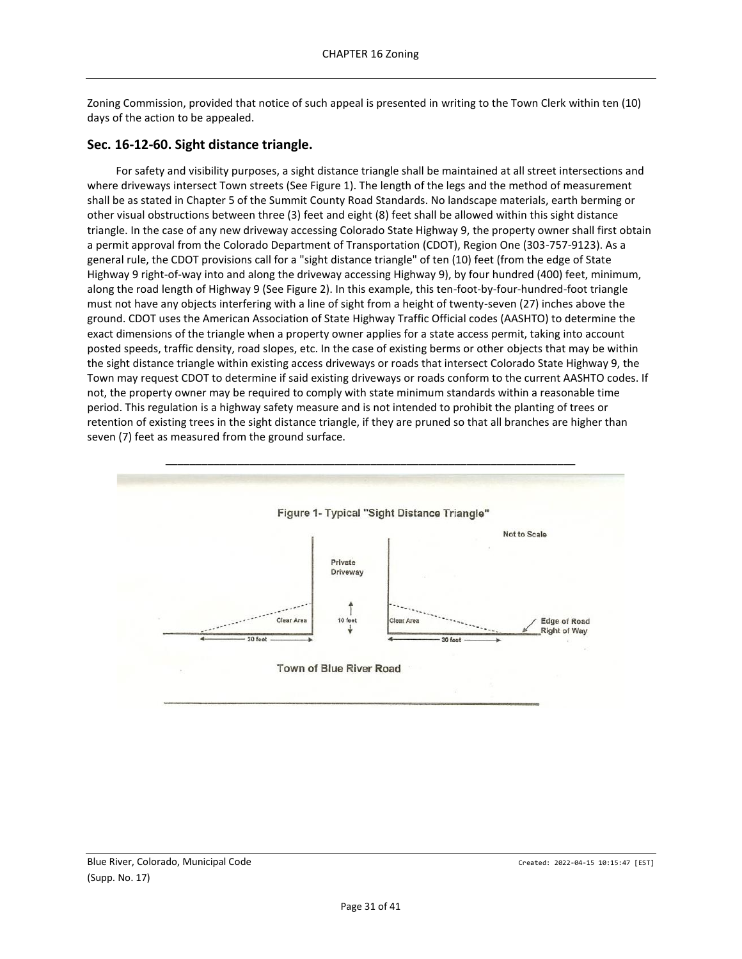Zoning Commission, provided that notice of such appeal is presented in writing to the Town Clerk within ten (10) days of the action to be appealed.

## <span id="page-30-0"></span>**Sec. 16-12-60. Sight distance triangle.**

For safety and visibility purposes, a sight distance triangle shall be maintained at all street intersections and where driveways intersect Town streets (See Figure 1). The length of the legs and the method of measurement shall be as stated in Chapter 5 of the Summit County Road Standards. No landscape materials, earth berming or other visual obstructions between three (3) feet and eight (8) feet shall be allowed within this sight distance triangle. In the case of any new driveway accessing Colorado State Highway 9, the property owner shall first obtain a permit approval from the Colorado Department of Transportation (CDOT), Region One (303-757-9123). As a general rule, the CDOT provisions call for a "sight distance triangle" of ten (10) feet (from the edge of State Highway 9 right-of-way into and along the driveway accessing Highway 9), by four hundred (400) feet, minimum, along the road length of Highway 9 (See Figure 2). In this example, this ten-foot-by-four-hundred-foot triangle must not have any objects interfering with a line of sight from a height of twenty-seven (27) inches above the ground. CDOT uses the American Association of State Highway Traffic Official codes (AASHTO) to determine the exact dimensions of the triangle when a property owner applies for a state access permit, taking into account posted speeds, traffic density, road slopes, etc. In the case of existing berms or other objects that may be within the sight distance triangle within existing access driveways or roads that intersect Colorado State Highway 9, the Town may request CDOT to determine if said existing driveways or roads conform to the current AASHTO codes. If not, the property owner may be required to comply with state minimum standards within a reasonable time period. This regulation is a highway safety measure and is not intended to prohibit the planting of trees or retention of existing trees in the sight distance triangle, if they are pruned so that all branches are higher than seven (7) feet as measured from the ground surface.

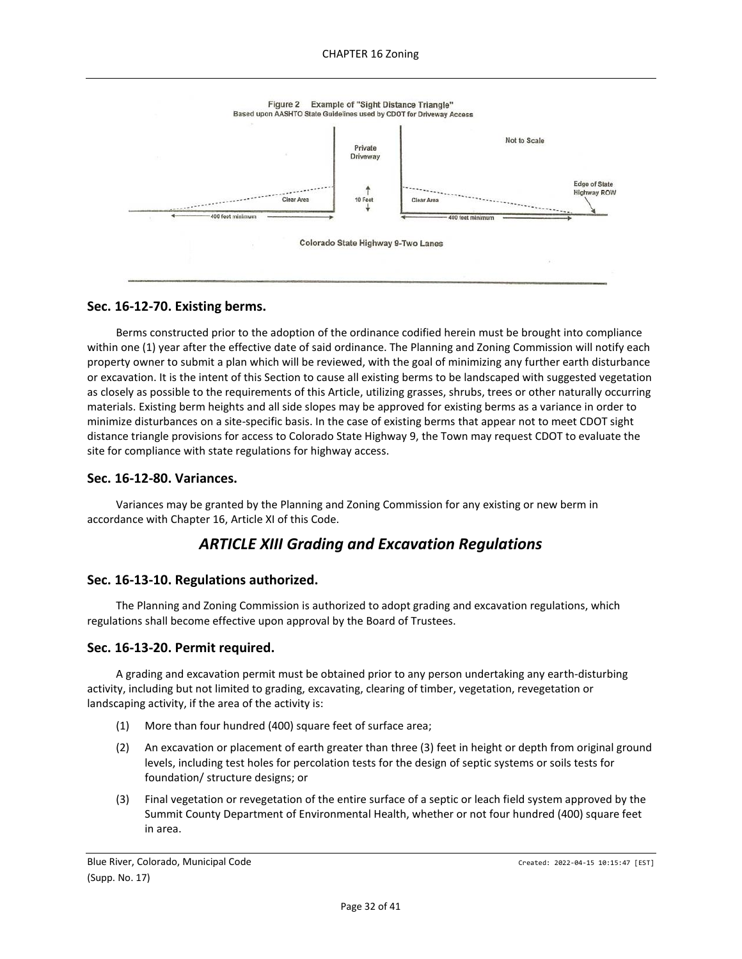

### <span id="page-31-0"></span>**Sec. 16-12-70. Existing berms.**

Berms constructed prior to the adoption of the ordinance codified herein must be brought into compliance within one (1) year after the effective date of said ordinance. The Planning and Zoning Commission will notify each property owner to submit a plan which will be reviewed, with the goal of minimizing any further earth disturbance or excavation. It is the intent of this Section to cause all existing berms to be landscaped with suggested vegetation as closely as possible to the requirements of this Article, utilizing grasses, shrubs, trees or other naturally occurring materials. Existing berm heights and all side slopes may be approved for existing berms as a variance in order to minimize disturbances on a site-specific basis. In the case of existing berms that appear not to meet CDOT sight distance triangle provisions for access to Colorado State Highway 9, the Town may request CDOT to evaluate the site for compliance with state regulations for highway access.

### <span id="page-31-1"></span>**Sec. 16-12-80. Variances.**

<span id="page-31-2"></span>Variances may be granted by the Planning and Zoning Commission for any existing or new berm in accordance with Chapter 16, Article XI of this Code.

# *ARTICLE XIII Grading and Excavation Regulations*

### <span id="page-31-3"></span>**Sec. 16-13-10. Regulations authorized.**

The Planning and Zoning Commission is authorized to adopt grading and excavation regulations, which regulations shall become effective upon approval by the Board of Trustees.

### <span id="page-31-4"></span>**Sec. 16-13-20. Permit required.**

A grading and excavation permit must be obtained prior to any person undertaking any earth-disturbing activity, including but not limited to grading, excavating, clearing of timber, vegetation, revegetation or landscaping activity, if the area of the activity is:

- (1) More than four hundred (400) square feet of surface area;
- (2) An excavation or placement of earth greater than three (3) feet in height or depth from original ground levels, including test holes for percolation tests for the design of septic systems or soils tests for foundation/ structure designs; or
- (3) Final vegetation or revegetation of the entire surface of a septic or leach field system approved by the Summit County Department of Environmental Health, whether or not four hundred (400) square feet in area.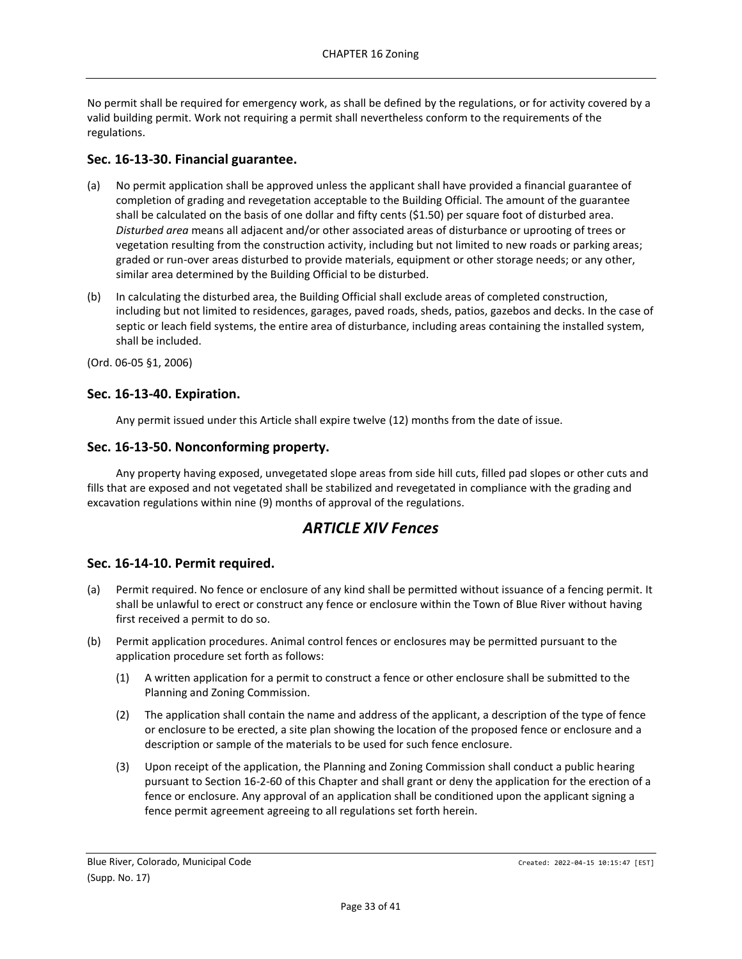No permit shall be required for emergency work, as shall be defined by the regulations, or for activity covered by a valid building permit. Work not requiring a permit shall nevertheless conform to the requirements of the regulations.

## <span id="page-32-0"></span>**Sec. 16-13-30. Financial guarantee.**

- (a) No permit application shall be approved unless the applicant shall have provided a financial guarantee of completion of grading and revegetation acceptable to the Building Official. The amount of the guarantee shall be calculated on the basis of one dollar and fifty cents (\$1.50) per square foot of disturbed area. *Disturbed area* means all adjacent and/or other associated areas of disturbance or uprooting of trees or vegetation resulting from the construction activity, including but not limited to new roads or parking areas; graded or run-over areas disturbed to provide materials, equipment or other storage needs; or any other, similar area determined by the Building Official to be disturbed.
- (b) In calculating the disturbed area, the Building Official shall exclude areas of completed construction, including but not limited to residences, garages, paved roads, sheds, patios, gazebos and decks. In the case of septic or leach field systems, the entire area of disturbance, including areas containing the installed system, shall be included.

(Ord. 06-05 §1, 2006)

## <span id="page-32-1"></span>**Sec. 16-13-40. Expiration.**

Any permit issued under this Article shall expire twelve (12) months from the date of issue.

## <span id="page-32-2"></span>**Sec. 16-13-50. Nonconforming property.**

Any property having exposed, unvegetated slope areas from side hill cuts, filled pad slopes or other cuts and fills that are exposed and not vegetated shall be stabilized and revegetated in compliance with the grading and excavation regulations within nine (9) months of approval of the regulations.

## *ARTICLE XIV Fences*

## <span id="page-32-4"></span><span id="page-32-3"></span>**Sec. 16-14-10. Permit required.**

- (a) Permit required. No fence or enclosure of any kind shall be permitted without issuance of a fencing permit. It shall be unlawful to erect or construct any fence or enclosure within the Town of Blue River without having first received a permit to do so.
- (b) Permit application procedures. Animal control fences or enclosures may be permitted pursuant to the application procedure set forth as follows:
	- (1) A written application for a permit to construct a fence or other enclosure shall be submitted to the Planning and Zoning Commission.
	- (2) The application shall contain the name and address of the applicant, a description of the type of fence or enclosure to be erected, a site plan showing the location of the proposed fence or enclosure and a description or sample of the materials to be used for such fence enclosure.
	- (3) Upon receipt of the application, the Planning and Zoning Commission shall conduct a public hearing pursuant to Section 16-2-60 of this Chapter and shall grant or deny the application for the erection of a fence or enclosure. Any approval of an application shall be conditioned upon the applicant signing a fence permit agreement agreeing to all regulations set forth herein.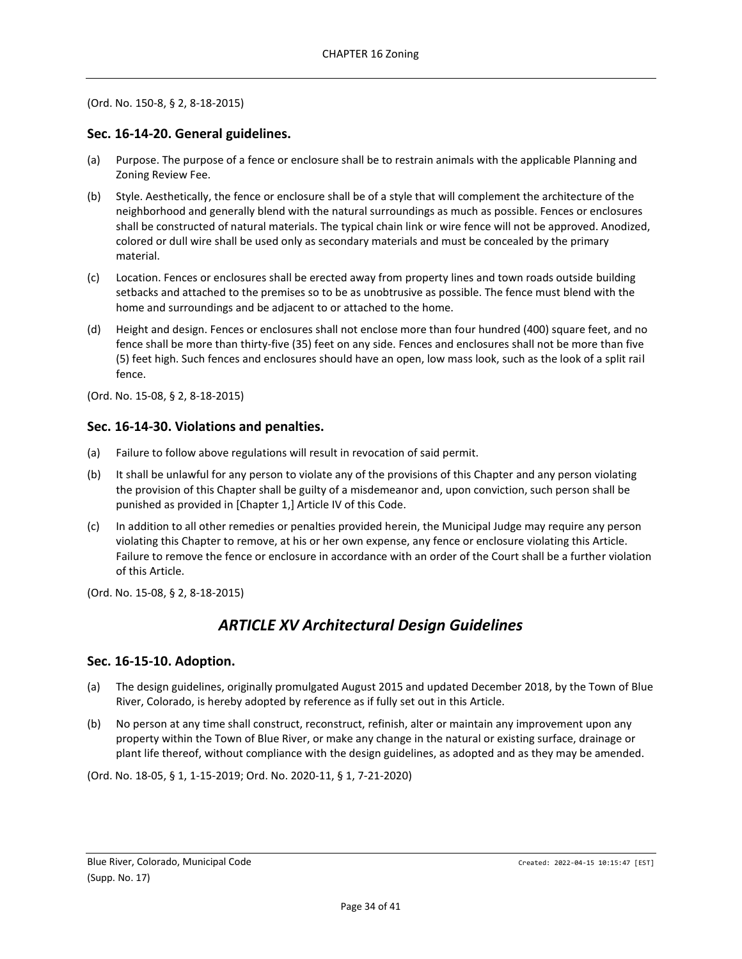#### (Ord. No. 150-8, § 2, 8-18-2015)

## <span id="page-33-0"></span>**Sec. 16-14-20. General guidelines.**

- (a) Purpose. The purpose of a fence or enclosure shall be to restrain animals with the applicable Planning and Zoning Review Fee.
- (b) Style. Aesthetically, the fence or enclosure shall be of a style that will complement the architecture of the neighborhood and generally blend with the natural surroundings as much as possible. Fences or enclosures shall be constructed of natural materials. The typical chain link or wire fence will not be approved. Anodized, colored or dull wire shall be used only as secondary materials and must be concealed by the primary material.
- (c) Location. Fences or enclosures shall be erected away from property lines and town roads outside building setbacks and attached to the premises so to be as unobtrusive as possible. The fence must blend with the home and surroundings and be adjacent to or attached to the home.
- (d) Height and design. Fences or enclosures shall not enclose more than four hundred (400) square feet, and no fence shall be more than thirty-five (35) feet on any side. Fences and enclosures shall not be more than five (5) feet high. Such fences and enclosures should have an open, low mass look, such as the look of a split rail fence.
- (Ord. No. 15-08, § 2, 8-18-2015)

## <span id="page-33-1"></span>**Sec. 16-14-30. Violations and penalties.**

- (a) Failure to follow above regulations will result in revocation of said permit.
- (b) It shall be unlawful for any person to violate any of the provisions of this Chapter and any person violating the provision of this Chapter shall be guilty of a misdemeanor and, upon conviction, such person shall be punished as provided in [Chapter 1,] Article IV of this Code.
- (c) In addition to all other remedies or penalties provided herein, the Municipal Judge may require any person violating this Chapter to remove, at his or her own expense, any fence or enclosure violating this Article. Failure to remove the fence or enclosure in accordance with an order of the Court shall be a further violation of this Article.

<span id="page-33-2"></span>(Ord. No. 15-08, § 2, 8-18-2015)

# *ARTICLE XV Architectural Design Guidelines*

### <span id="page-33-3"></span>**Sec. 16-15-10. Adoption.**

- (a) The design guidelines, originally promulgated August 2015 and updated December 2018, by the Town of Blue River, Colorado, is hereby adopted by reference as if fully set out in this Article.
- (b) No person at any time shall construct, reconstruct, refinish, alter or maintain any improvement upon any property within the Town of Blue River, or make any change in the natural or existing surface, drainage or plant life thereof, without compliance with the design guidelines, as adopted and as they may be amended.

(Ord. No. 18-05, § 1, 1-15-2019; Ord. No. 2020-11, § 1, 7-21-2020)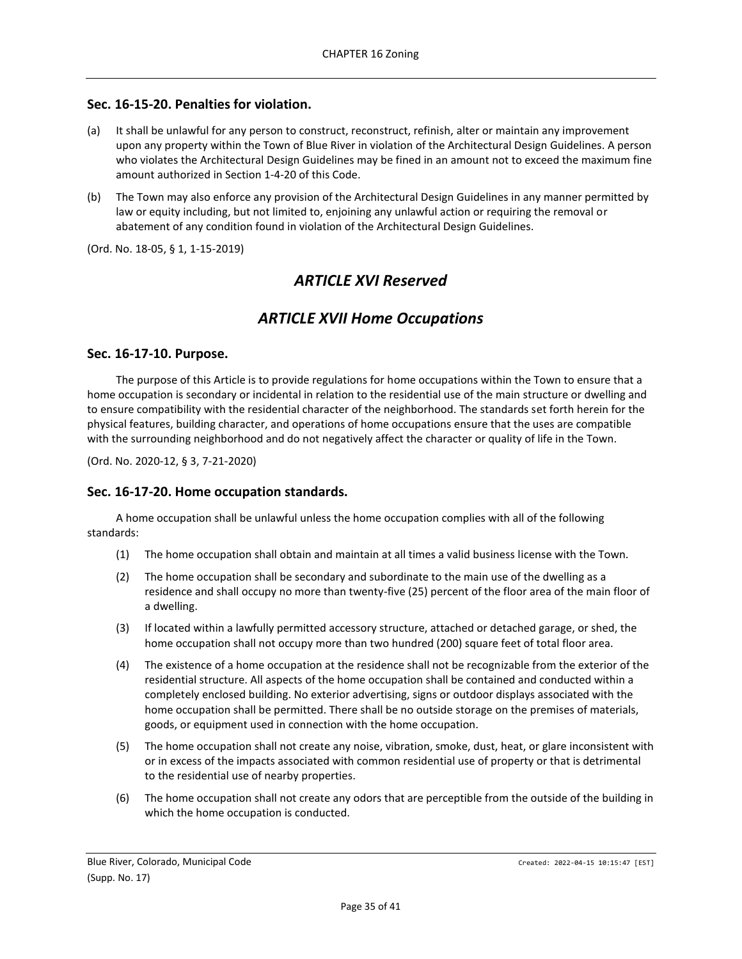## <span id="page-34-0"></span>**Sec. 16-15-20. Penalties for violation.**

- (a) It shall be unlawful for any person to construct, reconstruct, refinish, alter or maintain any improvement upon any property within the Town of Blue River in violation of the Architectural Design Guidelines. A person who violates the Architectural Design Guidelines may be fined in an amount not to exceed the maximum fine amount authorized in Section 1-4-20 of this Code.
- (b) The Town may also enforce any provision of the Architectural Design Guidelines in any manner permitted by law or equity including, but not limited to, enjoining any unlawful action or requiring the removal or abatement of any condition found in violation of the Architectural Design Guidelines.

<span id="page-34-1"></span>(Ord. No. 18-05, § 1, 1-15-2019)

## *ARTICLE XVI Reserved*

## *ARTICLE XVII Home Occupations*

### <span id="page-34-3"></span><span id="page-34-2"></span>**Sec. 16-17-10. Purpose.**

The purpose of this Article is to provide regulations for home occupations within the Town to ensure that a home occupation is secondary or incidental in relation to the residential use of the main structure or dwelling and to ensure compatibility with the residential character of the neighborhood. The standards set forth herein for the physical features, building character, and operations of home occupations ensure that the uses are compatible with the surrounding neighborhood and do not negatively affect the character or quality of life in the Town.

(Ord. No. 2020-12, § 3, 7-21-2020)

### <span id="page-34-4"></span>**Sec. 16-17-20. Home occupation standards.**

A home occupation shall be unlawful unless the home occupation complies with all of the following standards:

- (1) The home occupation shall obtain and maintain at all times a valid business license with the Town.
- (2) The home occupation shall be secondary and subordinate to the main use of the dwelling as a residence and shall occupy no more than twenty-five (25) percent of the floor area of the main floor of a dwelling.
- (3) If located within a lawfully permitted accessory structure, attached or detached garage, or shed, the home occupation shall not occupy more than two hundred (200) square feet of total floor area.
- (4) The existence of a home occupation at the residence shall not be recognizable from the exterior of the residential structure. All aspects of the home occupation shall be contained and conducted within a completely enclosed building. No exterior advertising, signs or outdoor displays associated with the home occupation shall be permitted. There shall be no outside storage on the premises of materials, goods, or equipment used in connection with the home occupation.
- (5) The home occupation shall not create any noise, vibration, smoke, dust, heat, or glare inconsistent with or in excess of the impacts associated with common residential use of property or that is detrimental to the residential use of nearby properties.
- (6) The home occupation shall not create any odors that are perceptible from the outside of the building in which the home occupation is conducted.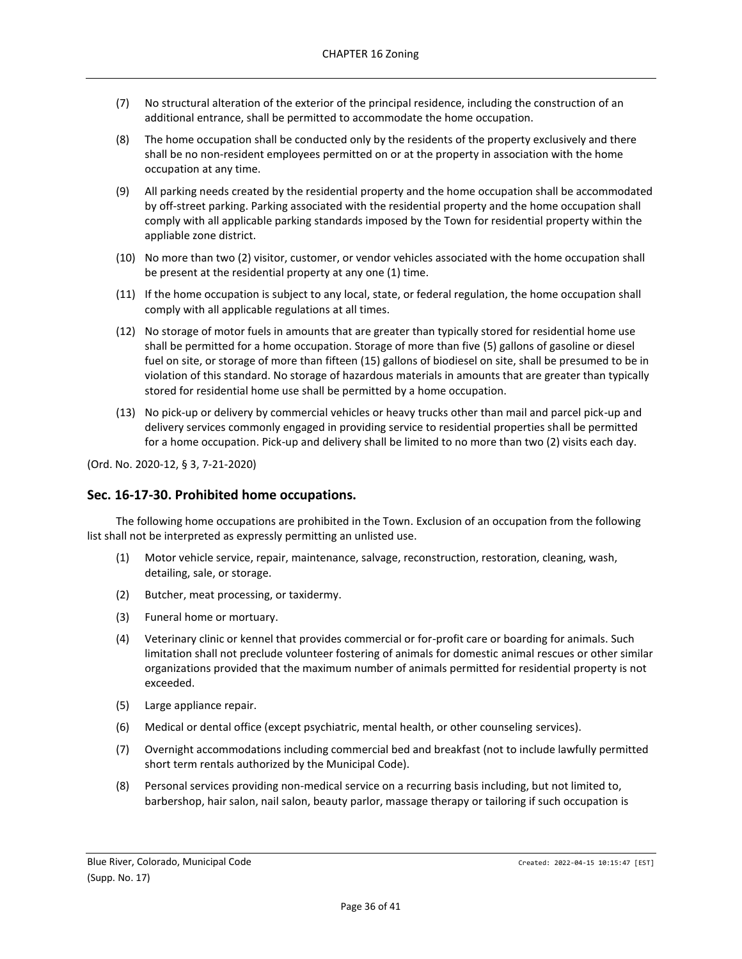- (7) No structural alteration of the exterior of the principal residence, including the construction of an additional entrance, shall be permitted to accommodate the home occupation.
- (8) The home occupation shall be conducted only by the residents of the property exclusively and there shall be no non-resident employees permitted on or at the property in association with the home occupation at any time.
- (9) All parking needs created by the residential property and the home occupation shall be accommodated by off-street parking. Parking associated with the residential property and the home occupation shall comply with all applicable parking standards imposed by the Town for residential property within the appliable zone district.
- (10) No more than two (2) visitor, customer, or vendor vehicles associated with the home occupation shall be present at the residential property at any one (1) time.
- (11) If the home occupation is subject to any local, state, or federal regulation, the home occupation shall comply with all applicable regulations at all times.
- (12) No storage of motor fuels in amounts that are greater than typically stored for residential home use shall be permitted for a home occupation. Storage of more than five (5) gallons of gasoline or diesel fuel on site, or storage of more than fifteen (15) gallons of biodiesel on site, shall be presumed to be in violation of this standard. No storage of hazardous materials in amounts that are greater than typically stored for residential home use shall be permitted by a home occupation.
- (13) No pick-up or delivery by commercial vehicles or heavy trucks other than mail and parcel pick-up and delivery services commonly engaged in providing service to residential properties shall be permitted for a home occupation. Pick-up and delivery shall be limited to no more than two (2) visits each day.

(Ord. No. 2020-12, § 3, 7-21-2020)

### <span id="page-35-0"></span>**Sec. 16-17-30. Prohibited home occupations.**

The following home occupations are prohibited in the Town. Exclusion of an occupation from the following list shall not be interpreted as expressly permitting an unlisted use.

- (1) Motor vehicle service, repair, maintenance, salvage, reconstruction, restoration, cleaning, wash, detailing, sale, or storage.
- (2) Butcher, meat processing, or taxidermy.
- (3) Funeral home or mortuary.
- (4) Veterinary clinic or kennel that provides commercial or for-profit care or boarding for animals. Such limitation shall not preclude volunteer fostering of animals for domestic animal rescues or other similar organizations provided that the maximum number of animals permitted for residential property is not exceeded.
- (5) Large appliance repair.
- (6) Medical or dental office (except psychiatric, mental health, or other counseling services).
- (7) Overnight accommodations including commercial bed and breakfast (not to include lawfully permitted short term rentals authorized by the Municipal Code).
- (8) Personal services providing non-medical service on a recurring basis including, but not limited to, barbershop, hair salon, nail salon, beauty parlor, massage therapy or tailoring if such occupation is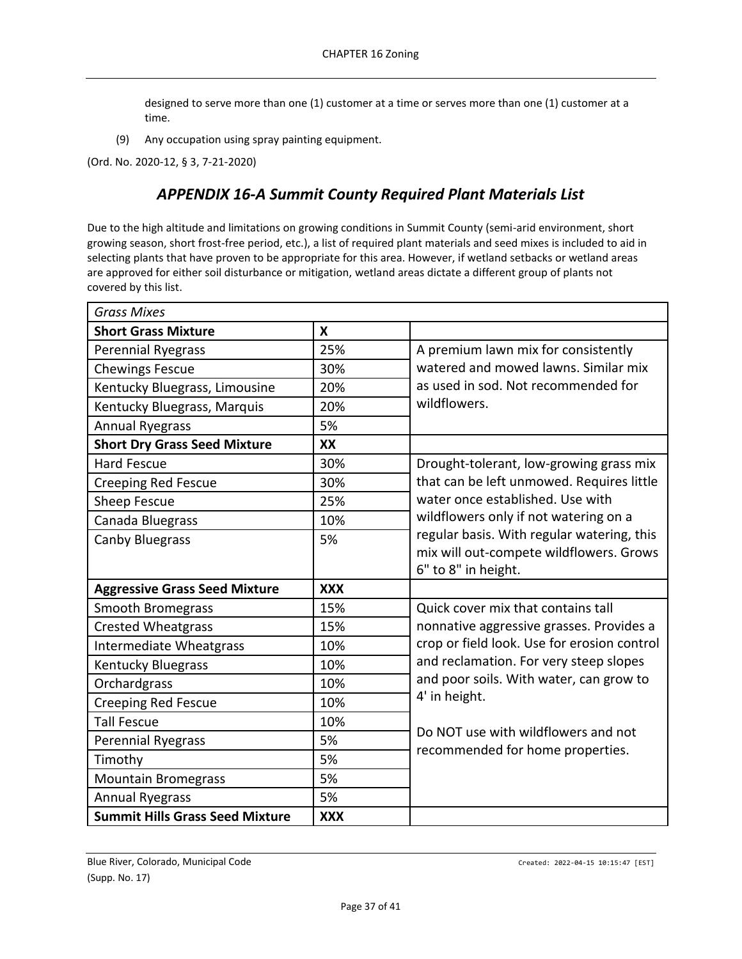designed to serve more than one (1) customer at a time or serves more than one (1) customer at a time.

(9) Any occupation using spray painting equipment.

<span id="page-36-0"></span>(Ord. No. 2020-12, § 3, 7-21-2020)

# *APPENDIX 16-A Summit County Required Plant Materials List*

Due to the high altitude and limitations on growing conditions in Summit County (semi-arid environment, short growing season, short frost-free period, etc.), a list of required plant materials and seed mixes is included to aid in selecting plants that have proven to be appropriate for this area. However, if wetland setbacks or wetland areas are approved for either soil disturbance or mitigation, wetland areas dictate a different group of plants not covered by this list.

| <b>Grass Mixes</b>                     |                  |                                             |
|----------------------------------------|------------------|---------------------------------------------|
| <b>Short Grass Mixture</b>             | $\boldsymbol{x}$ |                                             |
| <b>Perennial Ryegrass</b>              | 25%              | A premium lawn mix for consistently         |
| <b>Chewings Fescue</b>                 | 30%              | watered and mowed lawns. Similar mix        |
| Kentucky Bluegrass, Limousine          | 20%              | as used in sod. Not recommended for         |
| Kentucky Bluegrass, Marquis            | 20%              | wildflowers.                                |
| <b>Annual Ryegrass</b>                 | 5%               |                                             |
| <b>Short Dry Grass Seed Mixture</b>    | XX               |                                             |
| <b>Hard Fescue</b>                     | 30%              | Drought-tolerant, low-growing grass mix     |
| <b>Creeping Red Fescue</b>             | 30%              | that can be left unmowed. Requires little   |
| <b>Sheep Fescue</b>                    | 25%              | water once established. Use with            |
| Canada Bluegrass                       | 10%              | wildflowers only if not watering on a       |
| <b>Canby Bluegrass</b>                 | 5%               | regular basis. With regular watering, this  |
|                                        |                  | mix will out-compete wildflowers. Grows     |
|                                        |                  | 6" to 8" in height.                         |
| <b>Aggressive Grass Seed Mixture</b>   | <b>XXX</b>       |                                             |
| <b>Smooth Bromegrass</b>               | 15%              | Quick cover mix that contains tall          |
| <b>Crested Wheatgrass</b>              | 15%              | nonnative aggressive grasses. Provides a    |
| <b>Intermediate Wheatgrass</b>         | 10%              | crop or field look. Use for erosion control |
| <b>Kentucky Bluegrass</b>              | 10%              | and reclamation. For very steep slopes      |
| Orchardgrass                           | 10%              | and poor soils. With water, can grow to     |
| <b>Creeping Red Fescue</b>             | 10%              | 4' in height.                               |
| <b>Tall Fescue</b>                     | 10%              | Do NOT use with wildflowers and not         |
| <b>Perennial Ryegrass</b>              | 5%               | recommended for home properties.            |
| Timothy                                | 5%               |                                             |
| <b>Mountain Bromegrass</b>             | 5%               |                                             |
| <b>Annual Ryegrass</b>                 | 5%               |                                             |
| <b>Summit Hills Grass Seed Mixture</b> | <b>XXX</b>       |                                             |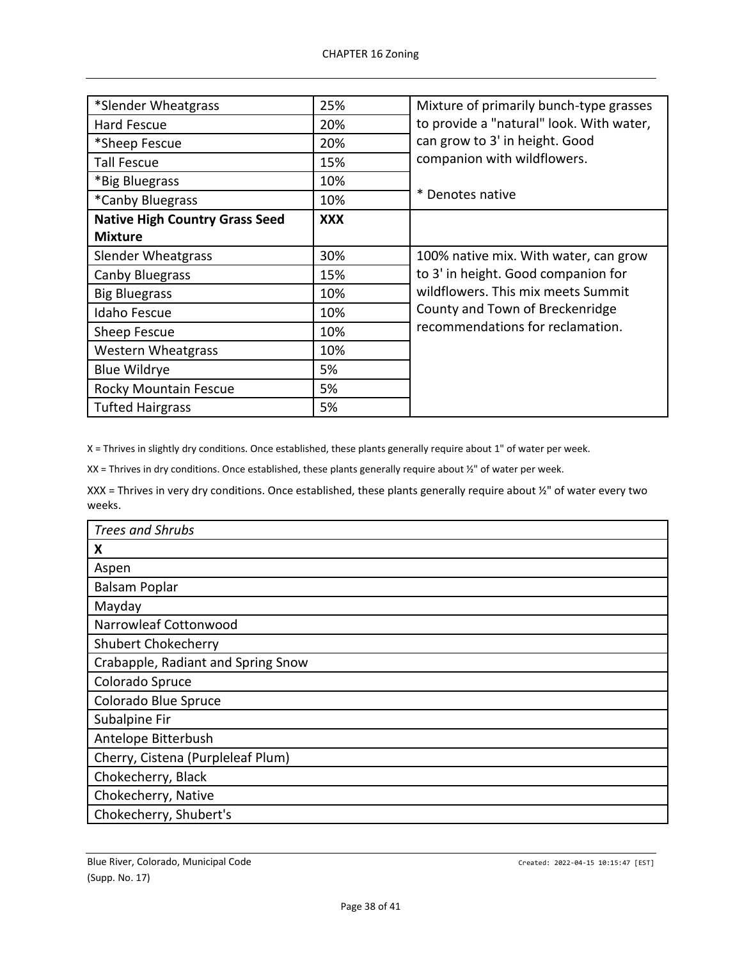| *Slender Wheatgrass                   | 25%        | Mixture of primarily bunch-type grasses  |
|---------------------------------------|------------|------------------------------------------|
| Hard Fescue                           | 20%        | to provide a "natural" look. With water, |
| *Sheep Fescue                         | 20%        | can grow to 3' in height. Good           |
| <b>Tall Fescue</b>                    | 15%        | companion with wildflowers.              |
| *Big Bluegrass                        | 10%        |                                          |
| *Canby Bluegrass                      | 10%        | * Denotes native                         |
| <b>Native High Country Grass Seed</b> | <b>XXX</b> |                                          |
| <b>Mixture</b>                        |            |                                          |
| <b>Slender Wheatgrass</b>             | 30%        | 100% native mix. With water, can grow    |
| Canby Bluegrass                       | 15%        | to 3' in height. Good companion for      |
| <b>Big Bluegrass</b>                  | 10%        | wildflowers. This mix meets Summit       |
| <b>Idaho Fescue</b>                   | 10%        | County and Town of Breckenridge          |
| Sheep Fescue                          | 10%        | recommendations for reclamation.         |
| <b>Western Wheatgrass</b>             | 10%        |                                          |
| <b>Blue Wildrye</b>                   | 5%         |                                          |
| <b>Rocky Mountain Fescue</b>          | 5%         |                                          |
| <b>Tufted Hairgrass</b>               | 5%         |                                          |

X = Thrives in slightly dry conditions. Once established, these plants generally require about 1" of water per week.

XX = Thrives in dry conditions. Once established, these plants generally require about ½" of water per week.

XXX = Thrives in very dry conditions. Once established, these plants generally require about ½" of water every two weeks.

| <b>Trees and Shrubs</b>            |
|------------------------------------|
| X                                  |
| Aspen                              |
| <b>Balsam Poplar</b>               |
| Mayday                             |
| Narrowleaf Cottonwood              |
| <b>Shubert Chokecherry</b>         |
| Crabapple, Radiant and Spring Snow |
| Colorado Spruce                    |
| Colorado Blue Spruce               |
| Subalpine Fir                      |
| Antelope Bitterbush                |
| Cherry, Cistena (Purpleleaf Plum)  |
| Chokecherry, Black                 |
| Chokecherry, Native                |
| Chokecherry, Shubert's             |

Blue River, Colorado, Municipal Code Case Code Created: 2022-04-15 10:15:47 [EST] (Supp. No. 17)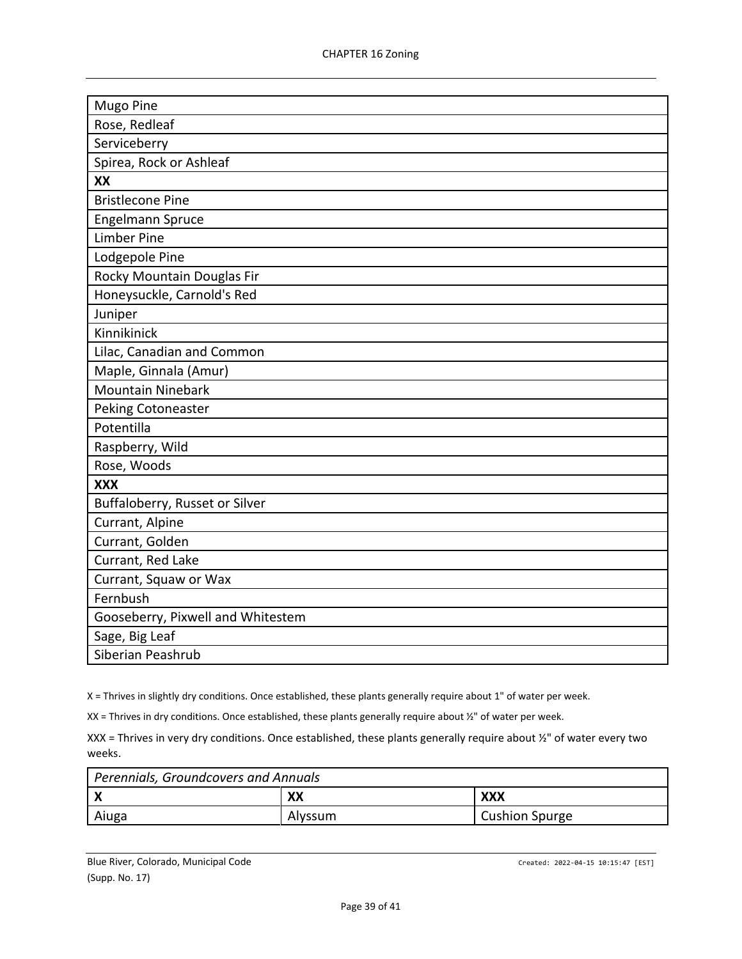| Mugo Pine                         |
|-----------------------------------|
| Rose, Redleaf                     |
| Serviceberry                      |
| Spirea, Rock or Ashleaf           |
| XX                                |
| <b>Bristlecone Pine</b>           |
| <b>Engelmann Spruce</b>           |
| <b>Limber Pine</b>                |
| Lodgepole Pine                    |
| Rocky Mountain Douglas Fir        |
| Honeysuckle, Carnold's Red        |
| Juniper                           |
| Kinnikinick                       |
| Lilac, Canadian and Common        |
| Maple, Ginnala (Amur)             |
| <b>Mountain Ninebark</b>          |
| Peking Cotoneaster                |
| Potentilla                        |
| Raspberry, Wild                   |
| Rose, Woods                       |
| <b>XXX</b>                        |
| Buffaloberry, Russet or Silver    |
| Currant, Alpine                   |
| Currant, Golden                   |
| Currant, Red Lake                 |
| Currant, Squaw or Wax             |
| Fernbush                          |
| Gooseberry, Pixwell and Whitestem |
| Sage, Big Leaf                    |
| Siberian Peashrub                 |

X = Thrives in slightly dry conditions. Once established, these plants generally require about 1" of water per week.

XX = Thrives in dry conditions. Once established, these plants generally require about ½" of water per week.

XXX = Thrives in very dry conditions. Once established, these plants generally require about ½" of water every two weeks.

| Perennials, Groundcovers and Annuals |         |                       |
|--------------------------------------|---------|-----------------------|
|                                      | XX      | XXX                   |
| Aiuga                                | Alvssum | <b>Cushion Spurge</b> |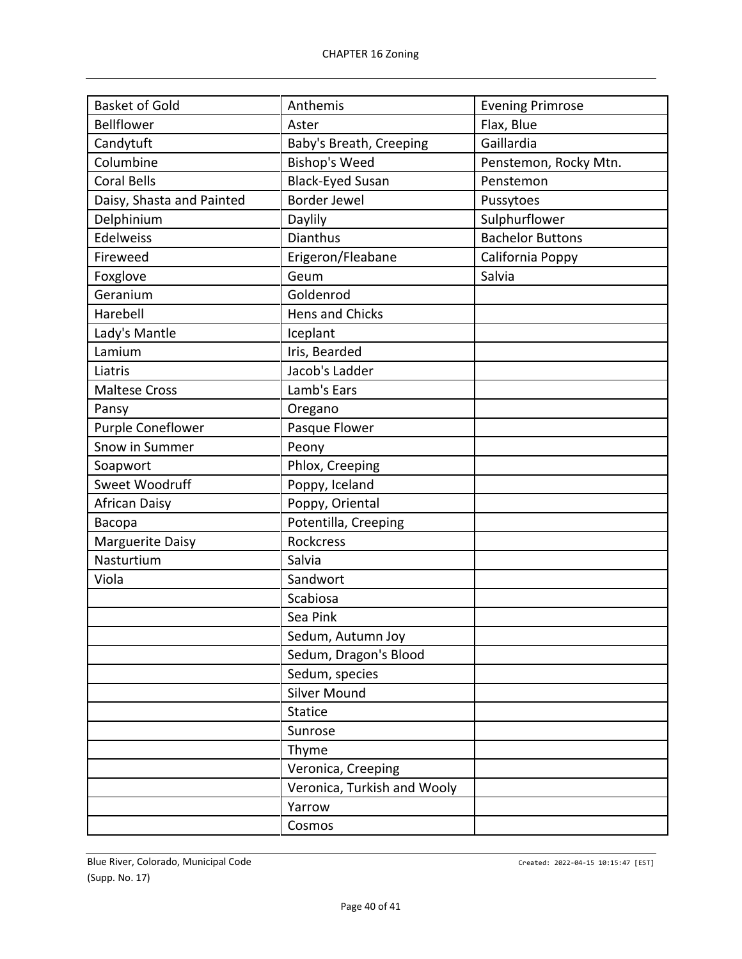| <b>Basket of Gold</b>     | Anthemis                    | <b>Evening Primrose</b> |
|---------------------------|-----------------------------|-------------------------|
| <b>Bellflower</b>         | Aster                       | Flax, Blue              |
| Candytuft                 | Baby's Breath, Creeping     | Gaillardia              |
| Columbine                 | <b>Bishop's Weed</b>        | Penstemon, Rocky Mtn.   |
| <b>Coral Bells</b>        | <b>Black-Eyed Susan</b>     | Penstemon               |
| Daisy, Shasta and Painted | <b>Border Jewel</b>         | Pussytoes               |
| Delphinium                | Daylily                     | Sulphurflower           |
| <b>Edelweiss</b>          | <b>Dianthus</b>             | <b>Bachelor Buttons</b> |
| Fireweed                  | Erigeron/Fleabane           | California Poppy        |
| Foxglove                  | Geum                        | Salvia                  |
| Geranium                  | Goldenrod                   |                         |
| Harebell                  | Hens and Chicks             |                         |
| Lady's Mantle             | Iceplant                    |                         |
| Lamium                    | Iris, Bearded               |                         |
| Liatris                   | Jacob's Ladder              |                         |
| <b>Maltese Cross</b>      | Lamb's Ears                 |                         |
| Pansy                     | Oregano                     |                         |
| Purple Coneflower         | Pasque Flower               |                         |
| Snow in Summer            | Peony                       |                         |
| Soapwort                  | Phlox, Creeping             |                         |
| Sweet Woodruff            | Poppy, Iceland              |                         |
| <b>African Daisy</b>      | Poppy, Oriental             |                         |
| Bacopa                    | Potentilla, Creeping        |                         |
| Marguerite Daisy          | Rockcress                   |                         |
| Nasturtium                | Salvia                      |                         |
| Viola                     | Sandwort                    |                         |
|                           | Scabiosa                    |                         |
|                           | Sea Pink                    |                         |
|                           | Sedum, Autumn Joy           |                         |
|                           | Sedum, Dragon's Blood       |                         |
|                           | Sedum, species              |                         |
|                           | Silver Mound                |                         |
|                           | <b>Statice</b>              |                         |
|                           | Sunrose                     |                         |
|                           | Thyme                       |                         |
|                           | Veronica, Creeping          |                         |
|                           | Veronica, Turkish and Wooly |                         |
|                           | Yarrow                      |                         |
|                           | Cosmos                      |                         |
|                           |                             |                         |